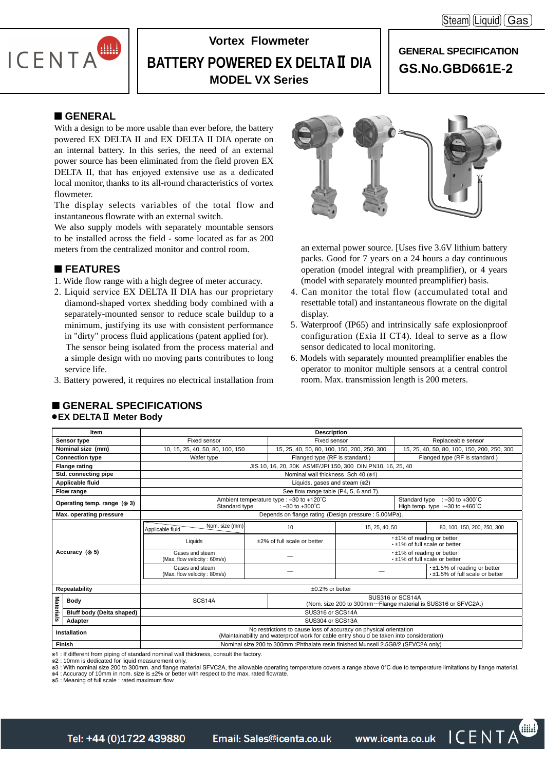$[Steam]$  [Liquid]  $[Gas]$ 



# **Vortex Flowmeter BATTERY POWERED EX DELTAⅡ DIA MODEL VX Series**

# **GENERAL SPECIFICATION GS.No.GBD661E-2**

# ■ **GENERAL**

With a design to be more usable than ever before, the battery powered EX DELTA Ⅱ and EX DELTA Ⅱ DIA operate on an internal battery. In this series, the need of an external power source has been eliminated from the field proven EX DELTA Ⅱ, that has enjoyed extensive use as a dedicated local monitor, thanks to its all-round characteristics of vortex flowmeter.

The display selects variables of the total flow and instantaneous flowrate with an external switch.

We also supply models with separately mountable sensors to be installed across the field - some located as far as 200 meters from the centralized monitor and control room.

# ■ **FEATURES**

- 1. Wide flow range with a high degree of meter accuracy.
- 2. Liquid service EX DELTA Ⅱ DIA has our proprietary diamond-shaped vortex shedding body combined with a separately-mounted sensor to reduce scale buildup to a minimum, justifying its use with consistent performance in "dirty" process fluid applications (patent applied for). The sensor being isolated from the process material and a simple design with no moving parts contributes to long service life.
- 3. Battery powered, it requires no electrical installation from

■ **GENERAL SPECIFICATIONS**

●**EX DELTAⅡ Meter Body**



an external power source. [Uses five 3.6V lithium battery packs. Good for 7 years on a 24 hours a day continuous operation (model integral with preamplifier), or 4 years (model with separately mounted preamplifier) basis.

- 4. Can monitor the total flow (accumulated total and resettable total) and instantaneous flowrate on the digital display.
- 5. Waterproof (IP65) and intrinsically safe explosionproof configuration (Exia II CT4). Ideal to serve as a flow sensor dedicated to local monitoring.
- 6. Models with separately mounted preamplifier enables the operator to monitor multiple sensors at a central control room. Max. transmission length is 200 meters.

|                  | Item                          |                                                                                                                                                               |                                                      | <b>Description</b>                                                                  |                                                                                   |                                                                                          |                                                                  |  |  |  |  |
|------------------|-------------------------------|---------------------------------------------------------------------------------------------------------------------------------------------------------------|------------------------------------------------------|-------------------------------------------------------------------------------------|-----------------------------------------------------------------------------------|------------------------------------------------------------------------------------------|------------------------------------------------------------------|--|--|--|--|
|                  | Sensor type                   | Fixed sensor                                                                                                                                                  |                                                      | Fixed sensor                                                                        |                                                                                   |                                                                                          | Replaceable sensor                                               |  |  |  |  |
|                  | Nominal size (mm)             | 10, 15, 25, 40, 50, 80, 100, 150                                                                                                                              |                                                      | 15, 25, 40, 50, 80, 100, 150, 200, 250, 300                                         |                                                                                   | 15, 25, 40, 50, 80, 100, 150, 200, 250, 300                                              |                                                                  |  |  |  |  |
|                  | <b>Connection type</b>        | Wafer type                                                                                                                                                    |                                                      | Flanged type (RF is standard.)                                                      |                                                                                   | Flanged type (RF is standard.)                                                           |                                                                  |  |  |  |  |
|                  | <b>Flange rating</b>          |                                                                                                                                                               |                                                      | JIS 10, 16, 20, 30K ASME/JPI 150, 300 DIN PN10, 16, 25, 40                          |                                                                                   |                                                                                          |                                                                  |  |  |  |  |
|                  | Std. connecting pipe          |                                                                                                                                                               |                                                      | Nominal wall thickness Sch 40 (*1)                                                  |                                                                                   |                                                                                          |                                                                  |  |  |  |  |
|                  | Applicable fluid              |                                                                                                                                                               |                                                      | Liquids, gases and steam (*2)                                                       |                                                                                   |                                                                                          |                                                                  |  |  |  |  |
|                  | Flow range                    | See flow range table (P4, 5, 6 and 7).                                                                                                                        |                                                      |                                                                                     |                                                                                   |                                                                                          |                                                                  |  |  |  |  |
|                  | Operating temp. range $(* 3)$ | Standard type                                                                                                                                                 |                                                      | Ambient temperature type : $-30$ to $+120^{\circ}$ C<br>: $-30$ to $+300^{\circ}$ C |                                                                                   | Standard type $: -30$ to $+300^{\circ}$ C<br>High temp. type : $-30$ to $+460^{\circ}$ C |                                                                  |  |  |  |  |
|                  | Max. operating pressure       |                                                                                                                                                               | Depends on flange rating (Design pressure: 5.00MPa). |                                                                                     |                                                                                   |                                                                                          |                                                                  |  |  |  |  |
|                  |                               | Nom. size (mm)<br>Applicable fluid                                                                                                                            |                                                      | 10                                                                                  | 15, 25, 40, 50                                                                    |                                                                                          | 80, 100, 150, 200, 250, 300                                      |  |  |  |  |
|                  |                               | Liquids                                                                                                                                                       |                                                      | ±2% of full scale or better                                                         |                                                                                   |                                                                                          | $\cdot$ ±1% of reading or better<br>.±1% of full scale or better |  |  |  |  |
|                  | Accuracy (* 5)                | Gases and steam<br>(Max. flow velocity: 60m/s)                                                                                                                |                                                      |                                                                                     |                                                                                   |                                                                                          | •±1% of reading or better<br>. ±1% of full scale or better       |  |  |  |  |
|                  |                               | Gases and steam<br>(Max. flow velocity: 80m/s)                                                                                                                |                                                      |                                                                                     |                                                                                   |                                                                                          | •±1.5% of reading or better<br>.±1.5% of full scale or better    |  |  |  |  |
|                  | Repeatability                 |                                                                                                                                                               |                                                      | $\pm 0.2\%$ or better                                                               |                                                                                   |                                                                                          |                                                                  |  |  |  |  |
| <b>Materials</b> | <b>Body</b>                   | SCS14A                                                                                                                                                        |                                                      |                                                                                     | SUS316 or SCS14A<br>(Nom. size 200 to 300mm…Flange material is SUS316 or SFVC2A.) |                                                                                          |                                                                  |  |  |  |  |
|                  | Bluff body (Delta shaped)     |                                                                                                                                                               |                                                      | SUS316 or SCS14A                                                                    |                                                                                   |                                                                                          |                                                                  |  |  |  |  |
|                  | Adapter                       |                                                                                                                                                               |                                                      | SUS304 or SCS13A                                                                    |                                                                                   |                                                                                          |                                                                  |  |  |  |  |
|                  | Installation                  | No restrictions to cause loss of accuracy on physical orientation<br>(Maintainability and waterproof work for cable entry should be taken into consideration) |                                                      |                                                                                     |                                                                                   |                                                                                          |                                                                  |  |  |  |  |
|                  | <b>Finish</b>                 |                                                                                                                                                               |                                                      | Nominal size 200 to 300mm : Phthalate resin finished Munsell 2.5G8/2 (SFVC2A only)  |                                                                                   |                                                                                          |                                                                  |  |  |  |  |

※1 : If different from piping of standard nominal wall thickness, consult the factory.

※2 : 10mm is dedicated for liquid measurement only.

« 2 : With nominal size 200 to 300mm. and flange material SFVC2A, the allowable operating temperature covers a range above 0°C due to temperature limitations by flange material.

※4 : Accuracy of 10mm in nom. size is ±2% or better with respect to the max. rated flowrate. ※5 : Meaning of full scale : rated maximum flow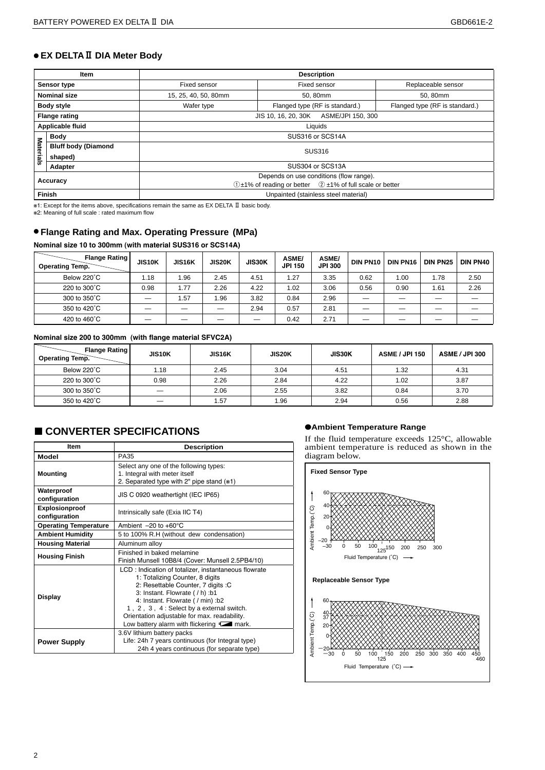# ● **EX DELTAⅡ DIA Meter Body**

|                  | Item                       |                                                                          | <b>Description</b>                      |                                |  |  |  |  |  |  |  |
|------------------|----------------------------|--------------------------------------------------------------------------|-----------------------------------------|--------------------------------|--|--|--|--|--|--|--|
|                  | Sensor type                | Fixed sensor                                                             | Fixed sensor                            | Replaceable sensor             |  |  |  |  |  |  |  |
|                  | <b>Nominal size</b>        | 15, 25, 40, 50, 80mm                                                     | 50, 80mm                                | 50, 80mm                       |  |  |  |  |  |  |  |
|                  | <b>Body style</b>          | Wafer type                                                               | Flanged type (RF is standard.)          | Flanged type (RF is standard.) |  |  |  |  |  |  |  |
|                  | <b>Flange rating</b>       | JIS 10, 16, 20, 30K ASME/JPI 150, 300                                    |                                         |                                |  |  |  |  |  |  |  |
|                  | Applicable fluid           | Liquids                                                                  |                                         |                                |  |  |  |  |  |  |  |
|                  | <b>Body</b>                | SUS316 or SCS14A                                                         |                                         |                                |  |  |  |  |  |  |  |
| <b>Materials</b> | <b>Bluff body (Diamond</b> | <b>SUS316</b>                                                            |                                         |                                |  |  |  |  |  |  |  |
|                  | shaped)                    |                                                                          |                                         |                                |  |  |  |  |  |  |  |
|                  | Adapter                    |                                                                          | SUS304 or SCS13A                        |                                |  |  |  |  |  |  |  |
|                  | Accuracy                   |                                                                          | Depends on use conditions (flow range). |                                |  |  |  |  |  |  |  |
|                  |                            | $(1) \pm 1\%$ of reading or better $(2) \pm 1\%$ of full scale or better |                                         |                                |  |  |  |  |  |  |  |
|                  | Finish                     | Unpainted (stainless steel material)                                     |                                         |                                |  |  |  |  |  |  |  |

※1: Except for the items above, specifications remain the same as EX DELTA Ⅱ basic body.

※2: Meaning of full scale : rated maximum flow

# ● **Flange Rating and Max. Operating Pressure (MPa)**

#### **Nominal size 10 to 300mm (with material SUS316 or SCS14A)**

| <b>Flange Rating</b><br>Operating Temp. | JIS10K | <b>JIS16K</b> | <b>JIS20K</b> | <b>JIS30K</b> | <b>ASME/</b><br><b>JPI 150</b> | <b>ASME/</b><br><b>JPI 300</b> | <b>DIN PN10</b> | DIN PN16 | <b>DIN PN25</b> | DIN PN40 |
|-----------------------------------------|--------|---------------|---------------|---------------|--------------------------------|--------------------------------|-----------------|----------|-----------------|----------|
| Below 220°C                             | 1.18   | 96. ا         | 2.45          | 4.51          | 1.27                           | 3.35                           | 0.62            | 1.00     | 1.78            | 2.50     |
| 220 to 300°C                            | 0.98   | 1.77          | 2.26          | 4.22          | 1.02                           | 3.06                           | 0.56            | 0.90     | 1.61            | 2.26     |
| 300 to 350°C                            |        | i.57          | 1.96          | 3.82          | 0.84                           | 2.96                           |                 |          |                 |          |
| 350 to 420°C                            |        |               | –             | 2.94          | 0.57                           | 2.81                           |                 |          |                 |          |
| 420 to 460°C                            |        | --            |               |               | 0.42                           | 2.71                           |                 |          |                 |          |

#### **Nominal size 200 to 300mm (with flange material SFVC2A)**

| <b>Flange Rating  </b><br><b>Operating Temp.</b> | <b>JIS10K</b>            | <b>JIS16K</b> | <b>JIS20K</b> | <b>JIS30K</b> | <b>ASME / JPI 150</b> | <b>ASME / JPI 300</b> |
|--------------------------------------------------|--------------------------|---------------|---------------|---------------|-----------------------|-----------------------|
| Below 220°C                                      | 1.18                     | 2.45          | 3.04          | 4.51          | 1.32                  | 4.31                  |
| 220 to 300°C                                     | 0.98                     | 2.26          | 2.84          | 4.22          | 1.02                  | 3.87                  |
| 300 to 350°C                                     |                          | 2.06          | 2.55          | 3.82          | 0.84                  | 3.70                  |
| 350 to 420°C                                     | $\overline{\phantom{0}}$ | i.57          | 1.96          | 2.94          | 0.56                  | 2.88                  |

# ■ CONVERTER SPECIFICATIONS ●**Ambient Temperature Range**

| Item                            | <b>Description</b>                                                                                                                                                                                                                                                                                                                          |  |  |  |  |  |  |  |
|---------------------------------|---------------------------------------------------------------------------------------------------------------------------------------------------------------------------------------------------------------------------------------------------------------------------------------------------------------------------------------------|--|--|--|--|--|--|--|
| Model                           | PA35                                                                                                                                                                                                                                                                                                                                        |  |  |  |  |  |  |  |
| <b>Mounting</b>                 | Select any one of the following types:<br>1. Integral with meter itself<br>2. Separated type with 2" pipe stand (*1)                                                                                                                                                                                                                        |  |  |  |  |  |  |  |
| Waterproof<br>configuration     | JIS C 0920 weathertight (IEC IP65)                                                                                                                                                                                                                                                                                                          |  |  |  |  |  |  |  |
| Explosionproof<br>configuration | Intrinsically safe (Exia IIC T4)                                                                                                                                                                                                                                                                                                            |  |  |  |  |  |  |  |
| <b>Operating Temperature</b>    | Ambient $-20$ to $+60^{\circ}$ C                                                                                                                                                                                                                                                                                                            |  |  |  |  |  |  |  |
| <b>Ambient Humidity</b>         | 5 to 100% R.H (without dew condensation)                                                                                                                                                                                                                                                                                                    |  |  |  |  |  |  |  |
| <b>Housing Material</b>         | Aluminum alloy                                                                                                                                                                                                                                                                                                                              |  |  |  |  |  |  |  |
| <b>Housing Finish</b>           | Finished in baked melamine<br>Finish Munsell 10B8/4 (Cover: Munsell 2.5PB4/10)                                                                                                                                                                                                                                                              |  |  |  |  |  |  |  |
| <b>Display</b>                  | LCD: Indication of totalizer, instantaneous flowrate<br>1: Totalizing Counter, 8 digits<br>2: Resettable Counter, 7 digits : C<br>3: Instant. Flowrate (/h) :b1<br>4: Instant. Flowrate ( / min) :b2<br>1, 2, 3, 4: Select by a external switch.<br>Orientation adjustable for max. readability.<br>Low battery alarm with flickering Tark. |  |  |  |  |  |  |  |
| <b>Power Supply</b>             | 3.6V lithium battery packs<br>Life: 24h 7 years continuous (for Integral type)<br>24h 4 years continuous (for separate type)                                                                                                                                                                                                                |  |  |  |  |  |  |  |

If the fluid temperature exceeds 125°C, allowable ambient temperature is reduced as shown in the diagram below.

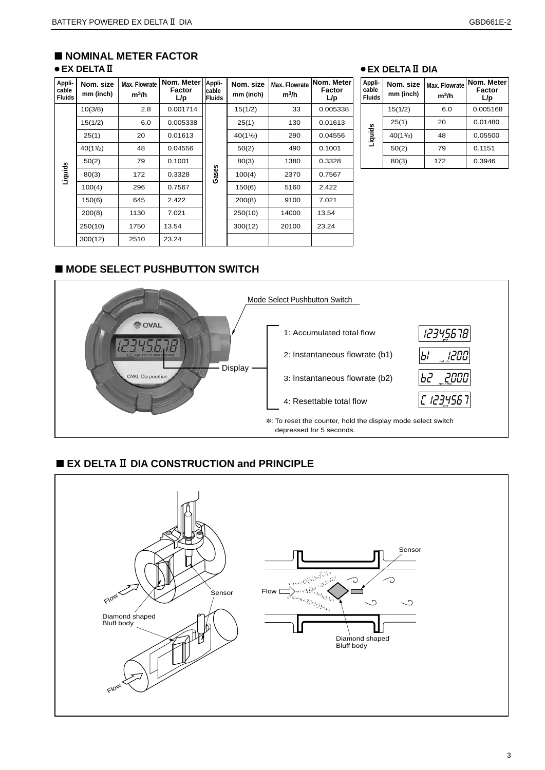# ■ **NOMINAL METER FACTOR** ● **EX DELTAⅡ**

| Appli-<br>cable<br><b>Fluids</b> | Nom. size<br>mm (inch) | <b>Max. Flowrate</b><br>m <sup>3</sup> /h | Nom. Meter<br>Factor<br>L/p     | Appli-<br>cable<br><b>Fluids</b> | Nom. size<br>mm (inch) | Max. Flowrate<br>m <sup>3</sup> /h | Nom. Meter<br>Factor<br>L/p |
|----------------------------------|------------------------|-------------------------------------------|---------------------------------|----------------------------------|------------------------|------------------------------------|-----------------------------|
|                                  | 10(3/8)                | 2.8                                       | 0.001714                        |                                  | 15(1/2)                | 33                                 | 0.005338                    |
| Liquids                          | 15(1/2)                | 6.0                                       | 0.005338                        |                                  | 25(1)                  | 130                                | 0.01613                     |
|                                  | 25(1)                  | 20                                        | 0.01613                         |                                  | $40(1\frac{1}{2})$     | 290                                | 0.04556                     |
|                                  | $40(1\frac{1}{2})$     | 48                                        | 0.04556                         |                                  | 50(2)                  | 490                                | 0.1001                      |
|                                  | 50(2)                  | 79                                        | 0.1001                          |                                  | 80(3)                  | 1380                               | 0.3328                      |
|                                  | 80(3)                  | 172                                       | 0.3328                          | Gases                            | 100(4)                 | 2370                               | 0.7567                      |
|                                  | 100(4)                 | 296                                       | 0.7567                          |                                  | 150(6)                 | 5160                               | 2.422                       |
|                                  | 150(6)                 | 645                                       | 2.422                           |                                  | 200(8)                 | 9100                               | 7.021                       |
|                                  | 200(8)                 | 1130                                      | 7.021                           |                                  | 250(10)                | 14000                              | 13.54                       |
|                                  | 250(10)                | 1750                                      | 13.54                           |                                  | 300(12)                | 20100                              | 23.24                       |
|                                  | 300(12)                | 2510                                      | 23.24                           |                                  |                        |                                    |                             |
|                                  |                        |                                           | ■ MODE SELECT PUSHBUTTON SWITCH |                                  |                        |                                    |                             |

# ● **EX DELTAⅡ DIA**

| Appli-<br>cable<br><b>Fluids</b> | Nom. size<br>mm (inch) | Max. Flowrate<br>$m^3/h$ | Nom. Meter<br>Factor<br>L/p |  |  |  |  |
|----------------------------------|------------------------|--------------------------|-----------------------------|--|--|--|--|
|                                  | 15(1/2)                | 6.0                      | 0.005168                    |  |  |  |  |
|                                  | 25(1)                  | 20                       | 0.01480                     |  |  |  |  |
| Liquids                          | 40(11/2)               | 48                       | 0.05500                     |  |  |  |  |
|                                  | 50(2)                  | 79                       | 0.1151                      |  |  |  |  |
|                                  | 80(3)                  | 172                      | 0.3946                      |  |  |  |  |



# ■ **EX DELTAⅡ DIA CONSTRUCTION and PRINCIPLE**

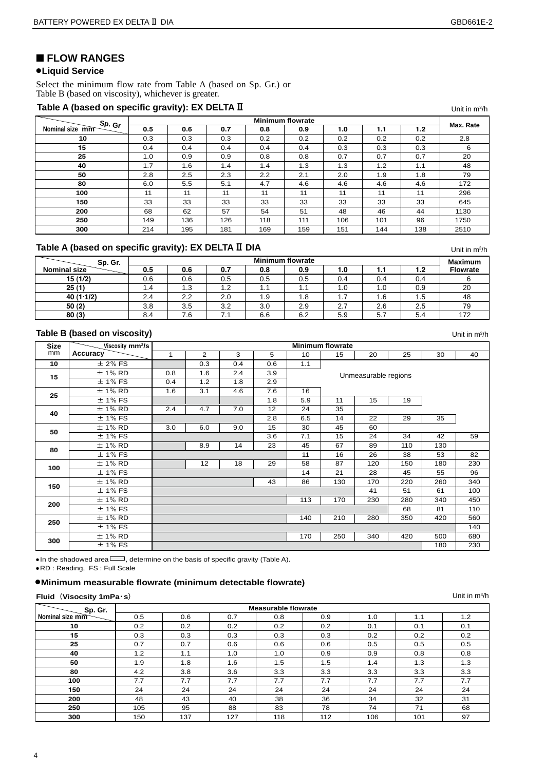Unit in m<sup>3</sup>/h

# ■ **FLOW RANGES**

## ●**Liquid Service**

Select the minimum flow rate from Table A (based on Sp. Gr.) or Table B (based on viscosity), whichever is greater.

### Table A (based on specific gravity): EX DELTA II

| Sp. Gr          |     | <b>Minimum flowrate</b> |     |     |     |     |     |     |           |  |  |  |  |
|-----------------|-----|-------------------------|-----|-----|-----|-----|-----|-----|-----------|--|--|--|--|
| Nominal size mm | 0.5 | 0.6                     | 0.7 | 0.8 | 0.9 | 1.0 | 1.1 | 1.2 | Max. Rate |  |  |  |  |
| 10              | 0.3 | 0.3                     | 0.3 | 0.2 | 0.2 | 0.2 | 0.2 | 0.2 | 2.8       |  |  |  |  |
| 15              | 0.4 | 0.4                     | 0.4 | 0.4 | 0.4 | 0.3 | 0.3 | 0.3 | 6         |  |  |  |  |
| 25              | 1.0 | 0.9                     | 0.9 | 0.8 | 0.8 | 0.7 | 0.7 | 0.7 | 20        |  |  |  |  |
| 40              | 1.7 | 1.6                     | 1.4 | 1.4 | 1.3 | 1.3 | 1.2 | 1.1 | 48        |  |  |  |  |
| 50              | 2.8 | 2.5                     | 2.3 | 2.2 | 2.1 | 2.0 | 1.9 | 1.8 | 79        |  |  |  |  |
| 80              | 6.0 | 5.5                     | 5.1 | 4.7 | 4.6 | 4.6 | 4.6 | 4.6 | 172       |  |  |  |  |
| 100             | 11  | 11                      | 11  | 11  | 11  | 11  | 11  | 11  | 296       |  |  |  |  |
| 150             | 33  | 33                      | 33  | 33  | 33  | 33  | 33  | 33  | 645       |  |  |  |  |
| 200             | 68  | 62                      | 57  | 54  | 51  | 48  | 46  | 44  | 1130      |  |  |  |  |
| 250             | 149 | 136                     | 126 | 118 | 111 | 106 | 101 | 96  | 1750      |  |  |  |  |
| 300             | 214 | 195                     | 181 | 169 | 159 | 151 | 144 | 138 | 2510      |  |  |  |  |

# **Table A (based on specific gravity): EX DELTA II DIA**

| Sp. Gr.             | <b>Minimum flowrate</b> |     |     |     |     |     |     |     |                 |  |  |  |
|---------------------|-------------------------|-----|-----|-----|-----|-----|-----|-----|-----------------|--|--|--|
| <b>Nominal size</b> | 0.5                     | 0.6 | 0.7 | 0.8 | 0.9 | 1.0 | . . | 1.2 | <b>Flowrate</b> |  |  |  |
| 15 (1/2)            | 0.6                     | 0.6 | 0.5 | 0.5 | 0.5 | 0.4 | 0.4 | 0.4 |                 |  |  |  |
| 25(1)               | 1.4                     | 1.3 | 1.2 | 1.1 | 1.1 | 1.0 | 1.0 | 0.9 | 20              |  |  |  |
| 40(1.1/2)           | 2.4                     | 2.2 | 2.0 | 1.9 | 1.8 | ۱.۱ | 1.6 | 1.5 | 48              |  |  |  |
| 50(2)               | 3.8                     | 3.5 | 3.2 | 3.0 | 2.9 | 2.7 | 2.6 | 2.5 | 79              |  |  |  |
| 80(3)               | 8.4                     | 7.6 | 7.1 | 6.6 | 6.2 | 5.9 | 5.  | 5.4 | 172             |  |  |  |

### **Table B (based on viscosity)**

Unit in  $m^3/h$ 

Unit in m<sup>3</sup>/h

Unit in  $m^3/h$ 

| <b>Size</b> | Viscosity mm <sup>2</sup> /s | <b>Minimum flowrate</b> |                |     |     |                 |     |                      |     |     |     |  |  |  |
|-------------|------------------------------|-------------------------|----------------|-----|-----|-----------------|-----|----------------------|-----|-----|-----|--|--|--|
| mm          | Accuracy                     | 1                       | $\overline{2}$ | 3   | 5   | 10 <sup>1</sup> | 15  | 20                   | 25  | 30  | 40  |  |  |  |
| 10          | $±$ 2% FS                    |                         | 0.3            | 0.4 | 0.6 | 1.1             |     |                      |     |     |     |  |  |  |
| 15          | $±$ 1% RD                    | 0.8                     | 1.6            | 2.4 | 3.9 |                 |     | Unmeasurable regions |     |     |     |  |  |  |
|             | $± 1\%$ FS                   | 0.4                     | 1.2            | 1.8 | 2.9 |                 |     |                      |     |     |     |  |  |  |
| 25          | $±$ 1% RD                    | 1.6                     | 3.1            | 4.6 | 7.6 | 16              |     |                      |     |     |     |  |  |  |
|             | $±$ 1% FS                    |                         |                |     | 1.8 | 5.9             | 11  | 15                   | 19  |     |     |  |  |  |
| 40          | $± 1%$ RD                    | 2.4                     | 4.7            | 7.0 | 12  | 24              | 35  |                      |     |     |     |  |  |  |
|             | $± 1\%$ FS                   |                         |                |     | 2.8 | 6.5             | 14  | 22                   | 29  | 35  |     |  |  |  |
| 50          | $± 1%$ RD                    | 3.0                     | 6.0            | 9.0 | 15  | 30              | 45  | 60                   |     |     |     |  |  |  |
|             | $± 1\%$ FS                   |                         |                |     | 3.6 | 7.1             | 15  | 24                   | 34  | 42  | 59  |  |  |  |
| 80          | $±$ 1% RD                    |                         | 8.9            | 14  | 23  | 45              | 67  | 89                   | 110 | 130 |     |  |  |  |
|             | $± 1\%$ FS                   |                         |                |     |     | 11              | 16  | 26                   | 38  | 53  | 82  |  |  |  |
| 100         | $± 1%$ RD                    |                         | 12             | 18  | 29  | 58              | 87  | 120                  | 150 | 180 | 230 |  |  |  |
|             | $±$ 1% FS                    |                         |                |     |     | 14              | 21  | 28                   | 45  | 55  | 96  |  |  |  |
| 150         | $± 1%$ RD                    |                         |                |     | 43  | 86              | 130 | 170                  | 220 | 260 | 340 |  |  |  |
|             | $± 1\%$ FS                   |                         |                |     |     |                 |     | 41                   | 51  | 61  | 100 |  |  |  |
| 200         | $± 1%$ RD                    |                         |                |     |     | 113             | 170 | 230                  | 280 | 340 | 450 |  |  |  |
|             | $± 1\%$ FS                   |                         |                |     |     |                 |     |                      | 68  | 81  | 110 |  |  |  |
| 250         | $± 1%$ RD                    |                         |                |     |     | 140             | 210 | 280                  | 350 | 420 | 560 |  |  |  |
|             | $± 1\%$ FS                   |                         |                |     |     |                 |     |                      |     |     | 140 |  |  |  |
|             | $± 1%$ RD                    |                         |                |     |     | 170             | 250 | 340                  | 420 | 500 | 680 |  |  |  |
| 300         | $± 1\%$ FS                   |                         |                |     |     |                 |     |                      |     | 180 | 230 |  |  |  |

• In the shadowed area<sup>[11]</sup>, determine on the basis of specific gravity (Table A).

● RD : Reading, FS : Full Scale

### ●**Minimum measurable flowrate (minimum detectable flowrate)**

#### $F$ **luid** (Visocsity 1mPa $\cdot$ s)

**Measurable flowrate Nominal size mm** 0.5 0.6 0.7 0.8 0.9 1.0 1.1 1.2<br>10 0.2 0.2 0.2 0.2 0.2 0.2 0.1 0.1 0.1 0.2 0.2 0.2 0.2 0.2 0.1 0.1 0.1 0.3 0.3 0.3 0.3 0.3 0.3 0.2 0.2 0.2 0.7 0.7 0.6 0.6 0.6 0.6 0.5 0.5 0.5 1.2 1.1 1.0 1.0 0.9 0.9 0.9 0.8 0.8 1.9 1.8 1.6 1.5 1.5 1.4 1.3 1.3  $\begin{array}{|c|c|c|c|c|c|} \hline \end{array}$  4.2  $\begin{array}{|c|c|c|c|} \hline \end{array}$  3.6  $\begin{array}{|c|c|c|c|} \hline \end{array}$  3.3  $\begin{array}{|c|c|c|c|} \hline \end{array}$  3.3  $\begin{array}{|c|c|c|c|} \hline \end{array}$  3.3  $\begin{array}{|c|c|c|c|} \hline \end{array}$  3.3 7.7 7.7 7.7 7.7 7.7 7.7 7.7 7.7 7.7 24 24 24 24 24 24 24 24 48 43 40 38 36 34 32 31 | 105 | 95 | 88 | 83 | 78 | 74 | 71 | 68 | 150 | 137 | 127 | 118 | 112 | 106 | 101 | 97 **Sp. Gr.**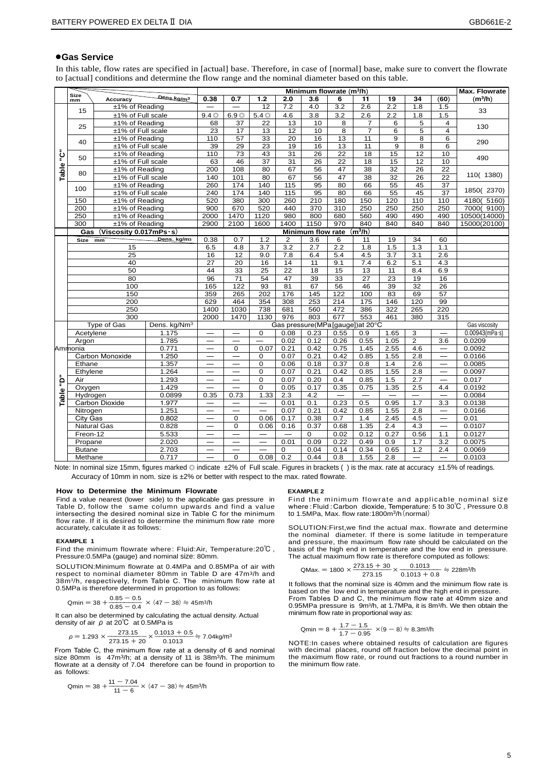# ●**Gas Service**

In this table, flow rates are specified in [actual] base. Therefore, in case of [normal] base, make sure to convert the flowrate to [actual] conditions and determine the flow range and the nominal diameter based on this table.

|       | <b>Size</b>   |                           |                          |                          |                          |                          |                          | Minimum flowrate (m <sup>3</sup> /h) |                  |                      |                          |                  |                          | Max. Flowrate             |  |
|-------|---------------|---------------------------|--------------------------|--------------------------|--------------------------|--------------------------|--------------------------|--------------------------------------|------------------|----------------------|--------------------------|------------------|--------------------------|---------------------------|--|
|       | mm            | Accuracy                  | Dens.kg/m <sup>3</sup>   | 0.38                     | 0.7                      | 1.2                      | 2.0                      | 3.6                                  | 6                | 11                   | 19                       | 34               | (60)                     | $(m^3/h)$                 |  |
|       | 15            | ±1% of Reading            |                          |                          |                          | $\overline{12}$          | 7.2                      | $\overline{4.0}$                     | $\overline{3.2}$ | $\overline{2.6}$     | $\overline{2.2}$         | $\overline{1.8}$ | 1.5                      | 33                        |  |
|       |               | ±1% of Full scale         |                          | $9.4\circ$               | 6.9 <sup>°</sup>         | 5.4 <sup>°</sup>         | 4.6                      | 3.8                                  | 3.2              | 2.6                  | 2.2                      | 1.8              | 1.5                      |                           |  |
|       | 25            | ±1% of Reading            |                          | 68                       | $\overline{37}$          | $\overline{22}$          | $\overline{13}$          | 10                                   | 8                | 7                    | 6                        | 5                | 4                        | 130                       |  |
|       |               | ±1% of Full scale         |                          | 23                       | 17                       | 13                       | $\overline{12}$          | $\overline{10}$                      | $\overline{8}$   | $\overline{7}$       | $\overline{6}$           | 5                | $\overline{4}$           |                           |  |
|       | 40            | ±1% of Reading            |                          | 110                      | 57                       | 33                       | 20                       | 16                                   | 13               | 11                   | 9                        | 8                | 6                        | 290                       |  |
|       |               | ±1% of Full scale         |                          | 39                       | $\overline{29}$          | $\overline{23}$          | 19                       | 16                                   | 13               | $\overline{11}$      | $\overline{9}$           | 8                | 6                        |                           |  |
| ڹؙٙ   | 50            | ±1% of Reading            |                          | 110                      | 73                       | 43                       | 31                       | 26                                   | 22               | 18                   | 15                       | 12               | 10                       | 490                       |  |
|       |               | ±1% of Full scale         |                          | 63                       | 46                       | $\overline{37}$          | 31                       | 26                                   | $\overline{22}$  | $\overline{18}$      | 15                       | 12               | 10                       |                           |  |
|       | 80            | ±1% of Reading            |                          | 200                      | 108                      | 80                       | 67                       | 56                                   | 47               | $\overline{38}$      | $\overline{32}$          | 26               | 22                       |                           |  |
| Table |               | ±1% of Full scale         |                          | 140                      | 101                      | 80                       | 67                       | 56                                   | 47               | 38                   | 32                       | 26               | $\overline{22}$          | 110(1380)                 |  |
|       | 100           | ±1% of Reading            |                          | 260                      | 174                      | 140                      | 115                      | 95                                   | 80               | 66                   | 55                       | 45               | 37                       |                           |  |
|       |               | ±1% of Full scale         |                          | 240                      | 174                      | 140                      | $\frac{115}{115}$        | $\overline{95}$                      | 80               | 66                   | $\overline{55}$          | 45               | $\overline{37}$          | 1850(2370)                |  |
|       | 150           | ±1% of Reading            |                          | 520                      | 380                      | 300                      | 260                      | 210                                  | 180              | 150                  | 120                      | 110              | 110                      | 4180(5160)                |  |
|       | 200           | ±1% of Reading            |                          | 900                      | 670                      | 520                      | 440                      | 370                                  | 310              | 250                  | 250                      | 250              | 250                      | 7000(9100)                |  |
|       | 250           | ±1% of Reading            |                          | 2000                     | 1470                     | 1120                     | 980                      | 800                                  | 680              | 560                  | 490                      | 490              | 490                      | 10500(14000)              |  |
|       | 300           | ±1% of Reading            |                          | 2900                     | 2100                     | 1600                     | 1400                     | 1150                                 | 970              | 840                  | 840                      | 840              | 840                      | 15000(20100)              |  |
|       | Gas           | (Viscosity $0.017$ mPs·s) |                          |                          |                          |                          |                          | <b>Minimum flow rate</b>             |                  | $\overline{(m^3/h)}$ |                          |                  |                          |                           |  |
|       | <b>Size</b>   | mm                        | Dens. kg/m3              | 0.38                     | 0.7                      | 1.2                      | $\overline{2}$           | $\overline{3.6}$                     | 6                | 11                   | $\overline{19}$          | $\overline{34}$  | 60                       |                           |  |
|       | 15<br>25      |                           |                          | 6.5                      | 4.8                      | $\overline{3.7}$         | $\overline{3.2}$         | 2.7                                  | $\overline{2.2}$ | 1.8                  | 1.5                      | $\overline{1.3}$ | 1.1                      |                           |  |
|       |               |                           |                          | 16                       | 12                       | 9.0                      | 7.8                      | 6.4                                  | 5.4              | 4.5                  | 3.7                      | 3.1              | 2.6                      |                           |  |
|       |               | 40                        | $\overline{27}$          | $\overline{20}$          | 16                       | 14                       | 11                       | 9.1                                  | 7.4              | 6.2                  | $\overline{5.1}$         | 4.3              |                          |                           |  |
|       |               | $\overline{50}$           |                          | 44                       | $\overline{33}$          | $\overline{25}$          | $\overline{22}$          | $\overline{18}$                      | 15               | $\overline{13}$      | $\overline{11}$          | 8.4              | 6.9                      |                           |  |
|       |               | 80                        |                          | 96                       | 71                       | 54                       | 47                       | $\overline{39}$                      | $\overline{33}$  | 27                   | 23                       | 19               | 16                       |                           |  |
|       |               | 100                       |                          | 165<br>359               | 122                      | 93                       | 81                       | 67                                   | 56               | 46                   | 39                       | 32               | 26                       |                           |  |
|       |               | 150                       |                          |                          | 265                      | 202                      | 176                      | 145                                  | 122              | 100                  | 83                       | 69               | 57                       |                           |  |
|       |               | 200                       |                          | 629                      | 464                      | 354                      | 308                      | 253                                  | 214              | 175                  | 146                      | 120              | 99                       |                           |  |
|       |               | 250                       |                          | 1400                     | 1030                     | 738                      | 681                      | 560                                  | 472              | 386                  | 322                      | 265              | 220                      |                           |  |
|       |               | $\overline{300}$          |                          | 2000                     | 1470                     | 1130                     | $\overline{976}$         | 803                                  | 677              | 553                  | 461                      | 380              | 315                      |                           |  |
|       |               | Type of Gas               | Dens. kg/Nm <sup>3</sup> |                          |                          |                          |                          | Gas pressure(MPa[gauge])at 20°C      |                  |                      |                          |                  |                          | Gas viscosity             |  |
|       | Acetylene     |                           | 1.175                    |                          |                          | 0                        | 0.08                     | 0.23                                 | 0.55             | 0.9                  | 1.65                     | 3                |                          | $0.00943$ (mPa $\cdot$ s) |  |
|       | Argon         |                           | 1.785                    |                          | $\overline{\phantom{0}}$ | $\overline{\phantom{0}}$ | 0.02                     | 0.12                                 | 0.26             | 0.55                 | 1.05                     | $\overline{2}$   | 3.6                      | 0.0209                    |  |
|       | Ammonia       |                           | 0.771                    | $\overline{\phantom{0}}$ | $\Omega$                 | 0.07                     | 0.21                     | 0.42                                 | 0.75             | 1.45                 | 2.55                     | 4.6              |                          | 0.0092                    |  |
|       |               | Carbon Monoxide           | 1.250                    | $\equiv$                 | $\overline{\phantom{0}}$ | 0                        | 0.07                     | 0.21                                 | 0.42             | 0.85                 | 1.55                     | 2.8              | $\qquad \qquad -$        | 0.0166                    |  |
|       | Ethane        |                           | 1.357                    |                          |                          | 0                        | 0.06                     | 0.18                                 | 0.37             | 0.8                  | 1.4                      | 2.6              |                          | 0.0085                    |  |
|       | Ethylene      |                           | 1.264                    |                          |                          | $\overline{0}$           | 0.07                     | 0.21                                 | 0.42             | 0.85                 | 1.55                     | $\overline{2.8}$ |                          | 0.0097                    |  |
| ؋ٟ    | Air           |                           | 1.293                    | —                        | $\overline{\phantom{0}}$ | $\overline{0}$           | 0.07                     | 0.20                                 | 0.4              | 0.85                 | 1.5                      | 2.7              | $\equiv$                 | 0.017                     |  |
|       | Oxygen        |                           | 1.429                    |                          |                          | 0                        | 0.05                     | 0.17                                 | 0.35             | 0.75                 | 1.35                     | 2.5              | 4.4                      | 0.0192                    |  |
| Table | Hydrogen      |                           | 0.0899                   | 0.35                     | 0.73                     | 1.33                     | 2.3                      | 4.2                                  | —                |                      | $\overline{\phantom{0}}$ |                  |                          | 0.0084                    |  |
|       |               | <b>Carbon Dioxide</b>     | 1.977                    |                          |                          |                          | 0.01                     | 0.1                                  | 0.23             | 0.5                  | 0.95                     | 1.7              | 3.3                      | 0.0138                    |  |
|       | Nitrogen      |                           | 1.251                    |                          | $\overline{\phantom{0}}$ | $\overline{\phantom{0}}$ | 0.07                     | 0.21                                 | 0.42             | 0.85                 | 1.55                     | 2.8              | $\overline{\phantom{m}}$ | 0.0166                    |  |
|       | City Gas      |                           | 0.802                    | —                        | $\mathbf 0$              | 0.06                     | 0.17                     | 0.38                                 | 0.7              | 1.4                  | 2.45                     | 4.5              | $\overline{\phantom{0}}$ | 0.01                      |  |
|       |               | <b>Natural Gas</b>        | 0.828                    | $\equiv$                 | 0                        | 0.06                     | 0.16                     | 0.37                                 | 0.68             | 1.35                 | 2.4                      | 4.3              | $\qquad \qquad$          | 0.0107                    |  |
|       | Freon-12      |                           | 5.533                    |                          | $\overline{\phantom{0}}$ | $\equiv$                 | $\overline{\phantom{0}}$ | $\mathbf 0$                          | 0.02             | 0.12                 | 0.27                     | 0.56             | 1.1                      | 0.0127                    |  |
|       | Propane       |                           | 2.020                    | —                        | $\overline{\phantom{0}}$ | $\equiv$                 | 0.01                     | 0.09                                 | 0.22             | 0.49                 | 0.9                      | 1.7              | 3.2                      | 0.0075                    |  |
|       | <b>Butane</b> |                           | 2.703                    | —                        | $\overline{\phantom{0}}$ | —                        | $\mathbf 0$              | 0.04                                 | 0.14             | 0.34                 | 0.65                     | 1.2              | 2.4                      | 0.0069                    |  |
|       | Methane       |                           | 0.717                    |                          | $\mathbf 0$              | 0.08                     | 0.2                      | 0.44                                 | 0.8              | 1.55                 | 2.8                      |                  |                          | 0.0103                    |  |

Note: In nominal size 15mm, figures marked ◎ indicate ±2% of Full scale. Figures in brackets ( ) is the max. rate at accuracy ±1.5% of readings. Accuracy of 10mm in nom. size is ±2% or better with respect to the max. rated flowrate.

#### **How to Determine the Minimum Flowrate**

Find a value nearest (lower side) to the applicable gas pressure in Table D, follow the same column upwards and find a value intersecting the desired nominal size in Table C for the minimum flow rate. If it is desired to determine the minimum flow rate more accurately, calculate it as follows:

#### **EXAMPLE 1**

Find the minimum flowrate where : Fluid:Air, Temperature:20℃ , Pressure:0.5MPa (gauge) and nominal size: 80mm.

SOLUTION:Minimum flowrate at 0.4MPa and 0.85MPa of air with respect to nominal diameter 80mm in Table D are 47m3/h and 38m3/h, respectively, from Table C. The minimum flow rate at 0.5MPa is therefore determined in proportion to as follows:

$$
Qmin = 38 + \frac{0.85 - 0.5}{0.85 - 0.4} \times (47 - 38) \approx 45 \text{ m}^3/\text{h}
$$

It can also be determined by calculating the actual density. Actual density of air  $\rho$  at 20°C at 0.5MPa is

$$
\rho = 1.293 \times \frac{273.15}{273.15 + 20} \times \frac{0.1013 + 0.5}{0.1013} = 7.04 \text{kg/m}^3
$$

From Table C, the minimum flow rate at a density of 6 and nominal size 80mm is 47m3/h; at a density of 11 is 38m3/h. The minimum flowrate at a density of 7.04 therefore can be found in proportion to as follows:

$$
Qmin = 38 + \frac{11 - 7.04}{11 - 6} \times (47 - 38) \doteq 45 \text{m}^3/\text{h}
$$

#### **EXAMPLE 2**

Find the minimum flowrate and applicable nominal size where : Fluid : Carbon dioxide, Temperature: 5 to 30℃ , Pressure 0.8 to 1.5MPa, Max. flow rate:1800m3/h(normal)

SOLUTION:First,we find the actual max. flowrate and determine the nominal diameter. If there is some latitude in temperature and pressure, the maximum flow rate should be calculated on the basis of the high end in temperature and the low end in pressure. The actual maximum flow rate is therefore computed as follows:

$$
QMax. = 1800 \times \frac{273.15 + 30}{273.15} \times \frac{0.1013}{0.1013 + 0.8} = 228m^{3}/h
$$

It follows that the nominal size is 40mm and the minimum flow rate is based on the low end in temperature and the high end in pressure. From Tables D and C, the minimum flow rate at 40mm size and 0.95MPa pressure is 9m3/h, at 1.7MPa, it is 8m3/h. We then obtain the minimum flow rate in proportional way as:

$$
Qmin = 8 + \frac{1.7 - 1.5}{1.7 - 0.95} \times (9 - 8) \doteq 8.3 \text{m}^3/\text{h}
$$

NOTE:In cases where obtained results of calculation are figures WOTE: with decimal places, round off fraction below the decimal point in the maximum flow rate, or round out fractions to a round number in the minimum flow rate.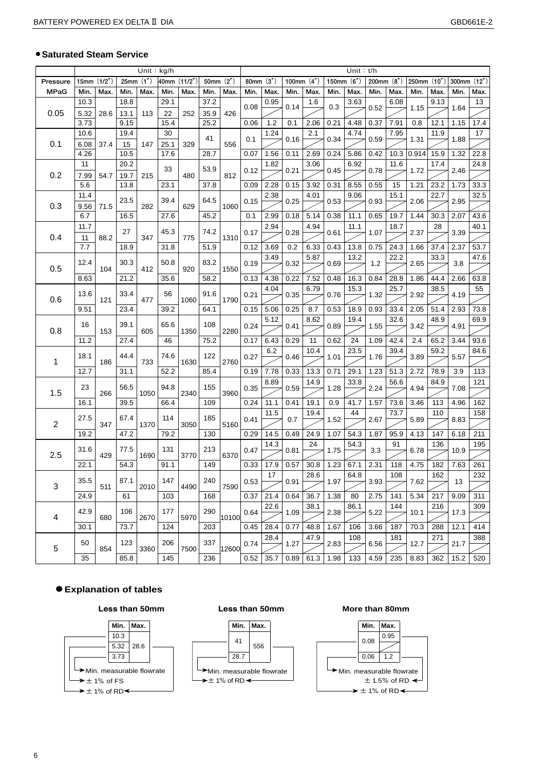### ● **Saturated Steam Service**

|                  | $\overline{Unit}:$ kg/h |      |      |          |              |      |             | Unit: $t/h$ |             |      |      |              |                     |      |              |      |             |      |                    |                 |
|------------------|-------------------------|------|------|----------|--------------|------|-------------|-------------|-------------|------|------|--------------|---------------------|------|--------------|------|-------------|------|--------------------|-----------------|
| Pressure         | 15mm $(1/2n)$           |      |      | 25mm(1") | 40mm (11/2") |      | 50mm (2")   |             | 80mm $(3")$ |      |      | 100mm $(4")$ | 150mm $(6")$        |      | 200mm $(8")$ |      | 250mm (10") |      | 300mm (12")        |                 |
| <b>MPaG</b>      | Min.                    | Max. | Min. | Max.     | Min.         | Max. | Min.        | Max.        | Min.        | Max. | Min. | Max.         | Min.                | Max. | Min.         | Max. | Min.        | Max. | Min.               | Max.            |
|                  | 10.3                    |      | 18.8 |          | 29.1         |      | 37.2        |             | 0.08        | 0.95 | 0.14 | 1.6          | 0.3                 | 3.63 | 0.52         | 6.08 | 1.15        | 9.13 | 1.64               | 13              |
| 0.05             | 5.32                    | 28.6 | 13.1 | 113      | 22           | 252  | 35.9        | 426         |             |      |      |              |                     |      |              |      |             |      |                    |                 |
|                  | 3.73                    |      | 9.15 |          | 15.4         |      | 25.2        |             | 0.06        | 1.2  | 0.1  | 2.06         | 0.21                | 4.48 | 0.37         | 7.91 | 0.8         | 12.1 | 1.15               | 17.4            |
|                  | 10.6                    |      | 19.4 |          | 30           |      | 41          |             |             | 1.24 |      | 2.1          |                     | 4.74 |              | 7.95 |             | 11.9 |                    | 17              |
| 0.1              | 6.08                    | 37.4 | 15   | 147      | 25.1         | 329  |             | 556         | 0.1         |      | 0.16 |              | 0.34                |      | 0.59         |      | 1.31        |      | 1.88               |                 |
|                  | 4.26                    |      | 10.5 |          | 17.6         |      | 28.7        |             | 0.07        | 1.56 | 0.11 | 2.69         | 0.24                | 5.86 | 0.42         | 10.3 | 0.914       | 15.9 | 1.32               | 22.8            |
|                  | 11                      |      | 20.2 |          |              |      |             |             |             | 1.82 |      | 3.06         |                     | 6.92 |              | 11.6 |             | 17.4 |                    | 24.8            |
| 0.2              | 7.99                    | 54.7 | 19.7 | 215      | 33           | 480  | 53.9        | 812         | 0.12        |      | 0.21 |              | 0.45                |      | 0.78         |      | 1.72        |      | 2.46               |                 |
|                  | 5.6                     |      | 13.8 |          | 23.1         |      | 37.8        |             | 0.09        | 2.28 | 0.15 | 3.92         | 0.31                | 8.55 | 0.55         | 15   | 1.21        | 23.2 | 1.73               | 33.3            |
|                  | 11.4                    |      |      |          |              |      |             |             |             | 2.38 |      | 4.01         |                     | 9.06 |              | 15.1 |             | 22.7 |                    | 32.5            |
| 0.3              | 9.56                    | 71.5 | 23.5 | 282      | 39.4         | 629  | 64.5        | 1060        | 0.15        |      | 0.25 |              | 0.53                |      | 0.93         |      | 2.06        |      | 2.95               |                 |
|                  | 6.7                     |      | 16.5 |          | 27.6         |      | 45.2        |             | 0.1         | 2.99 | 0.18 | 5.14         | 0.38                | 11.1 | 0.65         | 19.7 | 1.44        | 30.3 | 2.07               | 43.6            |
|                  | 11.7                    |      |      |          |              |      |             |             |             | 2.94 |      | 4.94         |                     | 11.1 |              | 18.7 |             | 28   |                    | 40.1            |
| 0.4              | 11                      | 88.2 | 27   | 347      | 45.3         | 775  | 74.2        | 1310        | 0.17        |      | 0.28 |              | 0.61                |      | 1.07         |      | 2.37        |      | 3.39               |                 |
|                  | 7.7                     |      | 18.9 |          | 31.8         |      | 51.9        |             | 0.12        | 3.69 | 0.2  | 6.33         | 0.43                | 13.8 | 0.75         | 24.3 | 1.66        | 37.4 | 2.37               | 53.7            |
|                  |                         |      |      |          |              |      |             |             |             | 3.49 |      | 5.87         |                     | 13.2 |              | 22.2 |             | 33.3 |                    | 47.6            |
| 0.5              | 12.4                    | 104  | 30.3 | 412      | 50.8         | 920  | 83.2        | 1550        | 0.19        |      | 0.32 |              | 0.69                |      | 1.2          |      | 2.65        |      | 3.8                |                 |
|                  | 8.63<br>21.2            |      | 35.6 |          | 58.2         |      | 0.13        | 4.38        | 0.22        | 7.52 | 0.48 | 16.3         | 0.84                | 28.8 | 1.86         | 44.4 | 2.66        | 63.8 |                    |                 |
|                  |                         |      |      |          |              |      |             |             |             | 4.04 |      | 6.79         |                     | 15.3 |              | 25.7 |             | 38.5 |                    | 55              |
| 0.6              | 13.6                    | 121  | 33.4 | 477      | 56           | 1060 | 91.6        | 1790        | 0.21        |      | 0.35 |              | 0.76                |      | 1.32         |      | 2.92        |      | 4.19               |                 |
|                  | 9.51                    |      | 23.4 |          | 39.2         |      | 64.1        |             | 0.15        | 5.06 | 0.25 | 8.7          | 0.53                | 18.9 | 0.93         | 33.4 | 2.05        | 51.4 | 2.93               | 73.8            |
|                  |                         |      |      |          |              |      |             |             |             | 5.12 |      | 8.62         |                     | 19.4 |              | 32.6 |             | 48.9 |                    | 69.9            |
| 0.8              | 16                      | 153  | 39.1 | 605      | 65.6         | 1350 | 108<br>2280 | 0.24        |             | 0.41 |      | 0.89         |                     | 1.55 |              | 3.42 |             | 4.91 |                    |                 |
|                  | 11.2                    |      | 27.4 |          | 46           |      | 75.2        |             | 0.17        | 6.43 | 0.29 | 11           | 0.62                | 24   | 1.09         | 42.4 | 2.4         | 65.2 | 3.44               | 93.6            |
|                  |                         |      |      |          |              |      |             |             |             | 6.2  |      | 10.4         |                     | 23.5 |              | 39.4 |             | 59.2 |                    | 84.6            |
| $\mathbf 1$      | 18.1                    | 186  | 44.4 | 733      | 74.6         | 1630 | 122         | 2760        | 0.27        |      | 0.46 |              | 1.01                |      | 1.76         |      | 3.89        |      | 5.57               |                 |
|                  | 12.7                    |      | 31.1 |          | 52.2         |      | 85.4        |             | 0.19        | 7.78 | 0.33 | 13.3         | 0.71                | 29.1 | 1.23         | 51.3 | 2.72        | 78.9 | 3.9                | 113             |
|                  |                         |      |      |          |              |      |             |             |             | 8.89 |      | 14.9         |                     | 33.8 |              | 56.6 |             | 84.9 |                    | 121             |
| 1.5              | 23                      | 266  | 56.5 | 1050     | 94.8         | 2340 | 155         | 3960        | 0.35        |      | 0.59 |              | 1.28                |      | 2.24         |      | 4.94        |      | 7.08               |                 |
|                  | 16.1                    |      | 39.5 |          | 66.4         |      | 109         |             | 0.24        | 11.1 | 0.41 | 19.1         | 0.9                 | 41.7 | 1.57         | 73.6 | 3.46        | 113  | 4.96               | 162             |
|                  |                         |      |      |          |              |      |             |             |             | 11.5 |      | 19.4         |                     | 44   |              | 73.7 |             | 110  |                    | 158             |
| $\boldsymbol{2}$ | 27.5                    | 347  | 67.4 | 1370     | 114          | 3050 | 185         | 5160        | 0.41        |      | 0.7  |              | 1.52                |      | 2.67         |      | 5.89        |      | 8.83               |                 |
|                  | 19.2                    |      | 47.2 |          | 79.2         |      | 130         |             | 0.29        | 14.5 | 0.49 | 24.9         | 1.07                | 54.3 | 1.87         | 95.9 | 4.13        | 147  | 6.18               | 211             |
|                  |                         |      |      |          |              |      |             |             |             | 14.3 |      | 24           |                     | 54.3 |              | 91   |             | 136  |                    | 195             |
| 2.5              | 31.6                    | 429  | 77.5 | 1690     | 131          | 3770 | 213         | 6370        | 0.47        |      | 0.81 |              | 1.75                |      | 3.3          |      | 6.78        |      | 10.9               |                 |
|                  | 22.1                    |      | 54.3 |          | 91.1         |      | 149         |             | 0.33        | 17.9 | 0.57 | 30.8         | 1.23                | 67.1 | 2.31         | 118  | 4.75        | 182  | 7.63               | 261             |
|                  |                         |      |      |          |              |      |             |             |             | 17   |      | 28.6         |                     | 64.8 |              | 108  |             | 162  |                    | $\frac{1}{232}$ |
| 3                | 35.5                    | 511  | 87.1 | 2010     | 147          | 4490 | 240         | 7590        | 0.53        |      | 0.91 |              | 1.97                |      | 3.93         |      | 7.62        |      | 13                 |                 |
|                  | 24.9                    |      | 61   |          | 103          |      | 168         |             | 0.37        | 21.4 | 0.64 | 36.7         | 1.38                | 80   | 2.75         | 141  | 5.34        | 217  | 9.09               | 311             |
|                  |                         |      |      |          |              |      |             |             |             | 22.6 |      | 38.1         |                     | 86.1 |              | 144  |             | 216  |                    | 309             |
| 4                | 42.9                    | 680  | 106  | 2670     | 177          | 5970 | 290         | 10100       | 0.64        |      | 1.09 |              | 2.38                |      | 5.22         |      | 10.1        |      | 17.3               |                 |
|                  | 30.1                    |      | 73.7 |          | 124          |      | 203         |             | 0.45        | 28.4 | 0.77 | 48.8         | 1.67                | 106  | 3.66         | 187  | 70.3        | 288  | 12.1               | 414             |
|                  |                         |      |      |          |              |      |             |             |             | 28.4 |      | 47.9         |                     | 108  |              | 181  |             | 271  |                    | 388             |
|                  | 50                      | 854  | 123  | 3360     | 206          | 7500 | 337         | 12600       | 0.74        |      | 1.27 |              | 2.83                |      | 6.56         |      | 12.7        |      | 21.7               |                 |
| 5                | 35                      |      | 85.8 |          | 145          |      | 236         |             | 0.52        | 35.7 | 0.89 |              | $61.3$   1.98   133 |      | 4.59         | 235  | 8.83        |      | $362$   15.2   520 |                 |

# ● **Explanation of tables**



#### **Less than 50mm**



#### **More than 80mm**

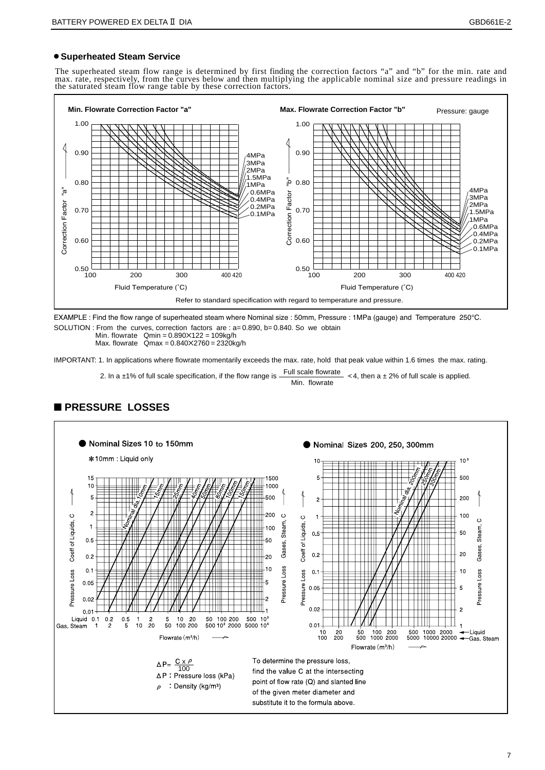# ● **Superheated Steam Service**

The superheated steam flow range is determined by first finding the correction factors "a" and "b" for the min. rate and<br>max. rate, respectively, from the curves below and then multiplying the applicable nominal size and p the saturated steam flow range table by these correction factors.



EXAMPLE : Find the flow range of superheated steam where Nominal size : 50mm, Pressure : 1MPa (gauge) and Temperature 250°C. SOLUTION : From the curves, correction factors are : a= 0.890, b= 0.840. So we obtain

Min. flowrate  $Qmin = 0.890 \times 122 = 109kg/h$ 

Max. flowrate  $Qmax = 0.840 \times 2760 = 2320$ kg/h

IMPORTANT: 1. In applications where flowrate momentarily exceeds the max. rate, hold that peak value within 1.6 times the max. rating.

2. In a ±1% of full scale specification, if the flow range is  $\frac{\text{Full scale flow rate}}{\text{Min. flowrate}} < 4$ , then a ± 2% of full scale is applied.



# ■ **PRESSURE LOSSES**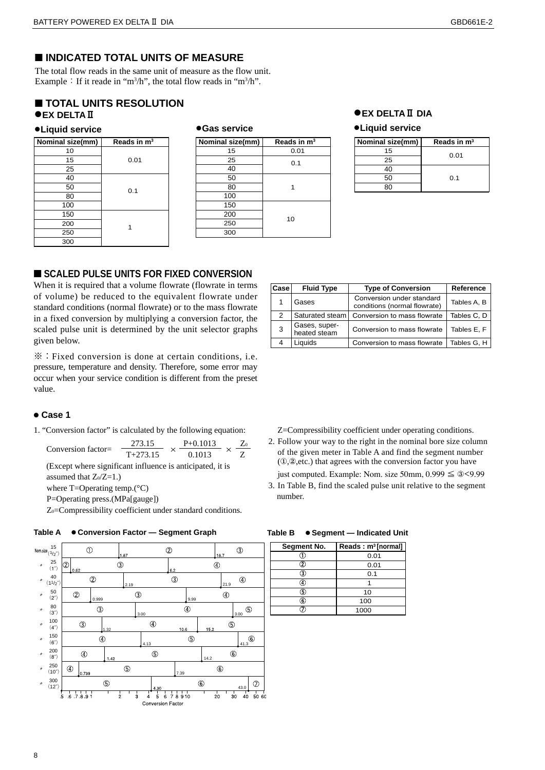# ■ **INDICATED TOTAL UNITS OF MEASURE**

The total flow reads in the same unit of measure as the flow unit. Example  $\colon$  If it reade in "m<sup>3</sup>/h", the total flow reads in "m<sup>3</sup>/h".

# ■ **TOTAL UNITS RESOLUTION** ●**EX DELTAⅡ**

#### ●**Liquid service**

| Nominal size(mm) | Reads in $m3$ |
|------------------|---------------|
| 10               |               |
| 15               | 0.01          |
| 25               |               |
| 40               |               |
| 50               | 0.1           |
| 80               |               |
| 100              |               |
| 150              |               |
| 200              |               |
| 250              |               |
| 300              |               |

#### ●**Gas service**

| Nominal size(mm) | Reads in $m3$ |
|------------------|---------------|
| 15               | 0.01          |
| 25               | 0.1           |
| 40               |               |
| 50               |               |
| 80               |               |
| 100              |               |
| 150              |               |
| 200              | 10            |
| 250              |               |
| 300              |               |

### ●**EX DELTAⅡ DIA**

#### ●**Liquid service**

| Nominal size(mm) | Reads in $m3$ |
|------------------|---------------|
| 15               | 0.01          |
| 25               |               |
|                  |               |
| 50               | O 1           |
|                  |               |

# ■ **SCALED PULSE UNITS FOR FIXED CONVERSION**

When it is required that a volume flowrate (flowrate in terms of volume) be reduced to the equivalent flowrate under standard conditions (normal flowrate) or to the mass flowrate in a fixed conversion by multiplying a conversion factor, the scaled pulse unit is determined by the unit selector graphs given below.

※:Fixed conversion is done at certain conditions, i.e. pressure, temperature and density. Therefore, some error may occur when your service condition is different from the preset value.

#### ● **Case 1**

1. "Conversion factor" is calculated by the following equation:

Conversion factor=  $\frac{273.15}{T+273.15} \times \frac{P+0.1013}{0.1013} \times \frac{Z_0}{Z}$  (Except where significant influence is anticipated, it is assumed that  $Z_0/Z=1.$ ) where T=Operating temp.(°C)

P=Operating press.(MPa[gauge])

Z<sub>0</sub>=Compressibility coefficient under standard conditions.





| Case | <b>Fluid Type</b>             | <b>Type of Conversion</b>                                 | Reference   |
|------|-------------------------------|-----------------------------------------------------------|-------------|
|      | Gases                         | Conversion under standard<br>conditions (normal flowrate) | Tables A, B |
| 2    | Saturated steam               | Conversion to mass flowrate                               | Tables C, D |
| 3    | Gases, super-<br>heated steam | Conversion to mass flowrate                               | Tables E, F |
|      | Liauids                       | Conversion to mass flowrate                               | Tables G, H |

Z=Compressibility coefficient under operating conditions.

2. Follow your way to the right in the nominal bore size column of the given meter in Table A and find the segment number (①,②,etc.) that agrees with the conversion factor you have

just computed. Example: Nom. size 50mm,  $0.999 \leq 3 < 9.99$ 

3. In Table B, find the scaled pulse unit relative to the segment number.

| Segment No. | Reads: $m^3$ [normal] |  |  |  |
|-------------|-----------------------|--|--|--|
|             | 0.01                  |  |  |  |
| 2           | 0.01                  |  |  |  |
| 3           | 0.1                   |  |  |  |
|             |                       |  |  |  |
| 5           | 10                    |  |  |  |
| 6           | 100                   |  |  |  |
|             | 1000                  |  |  |  |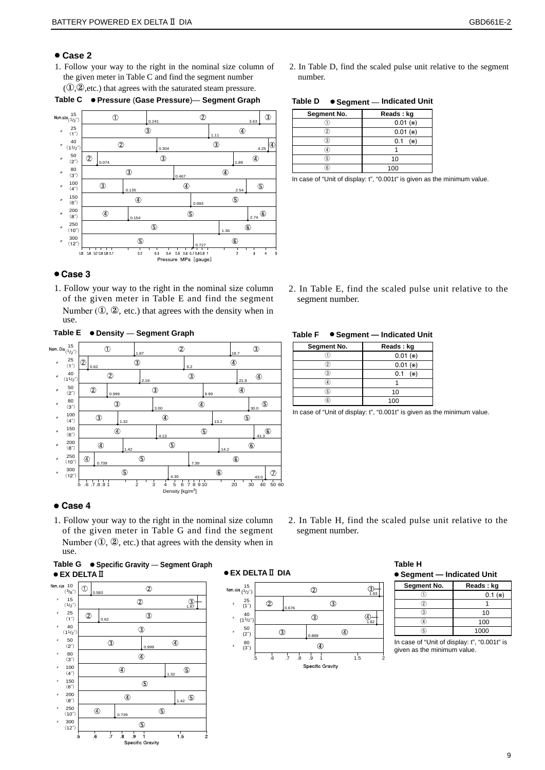# ● **Case 2**

1. Follow your way to the right in the nominal size column of the given meter in Table C and find the segment number  $(1, 2)$ , etc.) that agrees with the saturated steam pressure.



#### **Table C** ● **Pressure** (**Gase Pressure**)— **Segment Graph**

### ● **Case 3**

1. Follow your way to the right in the nominal size column of the given meter in Table E and find the segment Number  $(0, 2)$ , etc.) that agrees with the density when in use.

 $\frac{15}{(1/2^2)}$  $\circled{2}$  $\circled{3}$  $\circledcirc$ 1.87 18.7  $^{25}$  (1")  $\circled{3}$  $\circledA$ Θ 0.62 6.2  $\hat{z}$  $^{40}$ <br>(11/<sub>2</sub><sup> $\circ$ </sup>)  $\circled{3}$ r  $\circledcirc$ 2.19 21.9 50 (2˝)  $\circled{2}$  $\circled{3}$  $\circledA$  $\overline{a}$ o.<br>999 9.99  $\overline{a}$  $80$ <br> $(3")$  $\overline{3}$  $\circledS$  $\circledA$ 3.00 30.0 100 (4˝) ,  $\circled{3}$  $\circledcirc$  $\circledS$ 1.32 13.2 150 (6˝)  $\circledA$  $\circledS$  $\overline{a}$ 4.13 41.3 200  $\circledS$  $\overline{a}$  $\circledast$  $\overline{R}$ 1.42 14.2 250  $\overline{\phantom{a}}$  $\overline{a}$  $\circledS$  $\circledast$  $(10^{-10})$ 0.739 7.39 300  $\circledS$  $\circledast$  $\circledR$  $(12)$ 4.30  $40.5060$ .5 .6 .7 .8 .9 1 2 3 4 5 6 7 8 9 10 20 30 40 50 60 Density [kg/m<sup>3</sup>]

# **Table E** ● **Density** — **Segment Graph**

#### ● **Case 4**

1. Follow your way to the right in the nominal size column of the given meter in Table G and find the segment Number  $(0, 2)$ , etc.) that agrees with the density when in use.

#### **Table G** ● **Specific Gravity** — **Segment Graph** ● **EX DELTA**Ⅱ



# ● **EX DELTA**Ⅱ **DIA**



segment number.

# **Table H**  ● **Segment — Indicated Unit**

| Segment No. | Reads: kg |  |  |
|-------------|-----------|--|--|
|             | $0.1 (*)$ |  |  |
|             |           |  |  |
| з           | 10        |  |  |
|             | 100       |  |  |
|             | 1000      |  |  |

In case of "Unit of display: t", "0.001t" is given as the minimum value.

2. In Table D, find the scaled pulse unit relative to the segment number.

**Table D** ● **Segment** — **Indicated Unit**

| Segment No. | Reads: kg     |
|-------------|---------------|
|             | $0.01$ ( $*)$ |
| $^{2}$      | $0.01$ (*)    |
| 3           | $0.1$ (*)     |
|             |               |
| 5.          | 10            |
| ĥ           | 100           |

In case of "Unit of display: t", "0.001t" is given as the minimum value.

2. In Table E, find the scaled pulse unit relative to the segment number.

## **Table F** ● **Segment — Indicated Unit**

| Segment No. | Reads: kg         |
|-------------|-------------------|
|             | $0.01$ (*)        |
|             | $0.01$ (*)        |
| 3           | $(\times)$<br>0.1 |
|             |                   |
| 5           | 10                |
|             | 100               |

In case of "Unit of display: t", "0.001t" is given as the minimum value.

2. In Table H, find the scaled pulse unit relative to the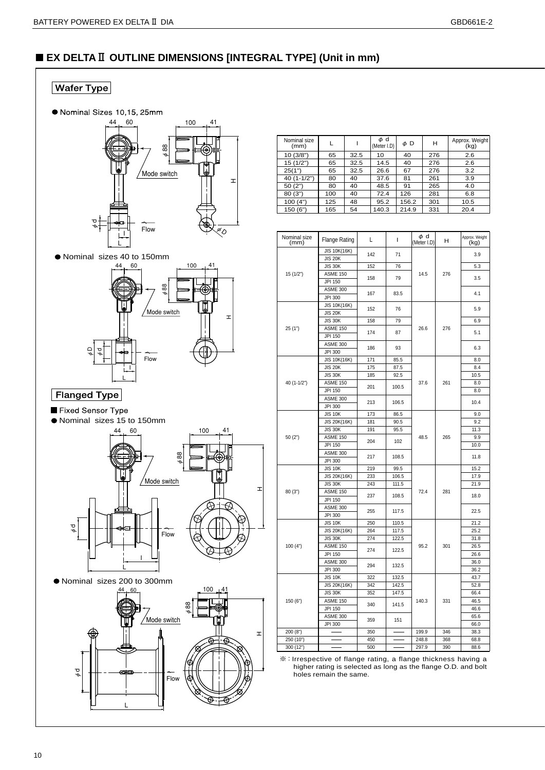# ■ **EX DELTA**Ⅱ **OUTLINE DIMENSIONS [INTEGRAL TYPE] (Unit in mm)**



| Nominal size<br>(mm) |     |      | φd<br>(Meter I.D) | $\phi$ D | н   | Approx. Weight<br>(kg) |
|----------------------|-----|------|-------------------|----------|-----|------------------------|
| 10(3/8")             | 65  | 32.5 | 10                | 40       | 276 | 2.6                    |
| 15(1/2")             | 65  | 32.5 | 14.5              | 40       | 276 | 2.6                    |
| 25(1")               | 65  | 32.5 | 26.6              | 67       | 276 | 3.2                    |
| $40(1-1/2")$         | 80  | 40   | 37.6              | 81       | 261 | 3.9                    |
| 50(2")               | 80  | 40   | 48.5              | 91       | 265 | 4.0                    |
| 80(3")               | 100 | 40   | 72.4              | 126      | 281 | 6.8                    |
| 100(4")              | 125 | 48   | 95.2              | 156.2    | 301 | 10.5                   |
| 150(6")              | 165 | 54   | 140.3             | 214.9    | 331 | 20.4                   |

| Nominal size<br>(mm) | Flange Rating                     | L          | L            | φd<br>(Meter I.D) | н    | Approx. Weight<br>(kg) |
|----------------------|-----------------------------------|------------|--------------|-------------------|------|------------------------|
|                      | JIS 10K(16K)<br><b>JIS 20K</b>    | 142        | 71           |                   |      | 3.9                    |
|                      | <b>JIS 30K</b>                    | 152        | 76           |                   |      | 5.3                    |
| 15(1/2")             | <b>ASME 150</b>                   |            |              | 14.5              | 276  |                        |
|                      | JPI 150                           | 158        | 79           |                   |      | 3.5                    |
|                      | ASME 300                          |            |              |                   |      |                        |
|                      | JPI 300                           | 167        | 83.5         |                   |      | 4.1                    |
|                      | JIS 10K(16K)                      |            | 76           |                   |      |                        |
|                      | <b>JIS 20K</b>                    | 152        |              |                   |      | 5.9                    |
|                      | <b>JIS 30K</b>                    | 158        | 79           |                   |      | 6.9                    |
| 25(1")               | <b>ASME 150</b>                   | 174        | 87           | 26.6              | 276  | 5.1                    |
|                      | JPI 150                           |            |              |                   |      |                        |
|                      | <b>ASME 300</b>                   | 186        | 93           |                   |      | 6.3                    |
|                      | JPI 300                           |            |              |                   |      |                        |
|                      | JIS 10K(16K)                      | 171        | 85.5         |                   |      | 8.0                    |
|                      | <b>JIS 20K</b>                    | 175        | 87.5         |                   |      | 8.4                    |
|                      | <b>JIS 30K</b>                    | 185        | 92.5         |                   |      | 10.5                   |
| 40 (1-1/2")          | ASME 150                          | 201        | 100.5        | 37.6              | 261  | 8.0                    |
|                      | JPI 150                           |            |              |                   |      | 8.0                    |
|                      | <b>ASME 300</b>                   | 213        | 106.5        |                   |      | 10.4                   |
|                      | JPI 300                           |            |              |                   |      |                        |
|                      | <b>JIS 10K</b>                    | 173        | 86.5         |                   |      | 9.0                    |
|                      | JIS 20K(16K)                      | 181        | 90.5         |                   |      | 9.2                    |
|                      | <b>JIS 30K</b>                    | 191        | 95.5         |                   | 11.3 |                        |
| 50 (2")              | <b>ASME 150</b>                   | 204        | 102<br>108.5 | 48.5              | 265  | 9.9                    |
|                      | JPI 150                           |            |              |                   |      | 10.0                   |
|                      | <b>ASME 300</b>                   | 217        |              |                   |      | 11.8                   |
|                      | JPI 300                           |            |              |                   |      |                        |
|                      | <b>JIS 10K</b>                    | 219<br>233 | 99.5         |                   |      | 15.2                   |
|                      | JIS 20K(16K)                      |            | 106.5        |                   |      | 17.9                   |
| 80(3")               | <b>JIS 30K</b><br><b>ASME 150</b> | 243        | 111.5        | 72.4              | 281  | 21.9                   |
|                      | JPI 150                           | 237        | 108.5        |                   |      | 18.0                   |
|                      | <b>ASME 300</b>                   |            |              |                   |      |                        |
|                      | JPI 300                           | 255        | 117.5        |                   |      | 22.5                   |
|                      | <b>JIS 10K</b>                    | 250        | 110.5        |                   |      | 21.2                   |
|                      | JIS 20K(16K)                      | 264        | 117.5        |                   |      | 25.2                   |
|                      | <b>JIS 30K</b>                    | 274        | 122.5        |                   |      | 31.8                   |
| 100(4")              | <b>ASME 150</b>                   |            |              | 95.2              | 301  | 26.5                   |
|                      | JPI 150                           | 274        | 122.5        |                   |      | 26.6                   |
|                      | ASME 300                          |            |              |                   |      | 36.0                   |
|                      | JPI 300                           | 294        | 132.5        |                   |      | 36.2                   |
|                      | <b>JIS 10K</b>                    | 322        | 132.5        |                   |      | 43.7                   |
|                      | JIS 20K(16K)                      | 342        | 142.5        |                   |      | 52.8                   |
|                      | <b>JIS 30K</b>                    | 352        | 147.5        |                   |      | 66.4                   |
| 150 (6")             | <b>ASME 150</b>                   | 340        | 141.5        | 140.3             | 331  | 46.5                   |
|                      | JPI 150                           |            |              |                   |      | 46.6                   |
|                      | <b>ASME 300</b>                   |            | 151          |                   |      | 65.6                   |
|                      | JPI 300                           | 359        |              |                   |      | 66.0                   |
| 200(8")              |                                   | 350        |              | 199.9             | 346  | 38.3                   |
| 250 (10")            |                                   | 450        |              | 248.8             | 368  | 68.8                   |
| 300 (12")            |                                   | 500        |              | 297.9             | 390  | 88.6                   |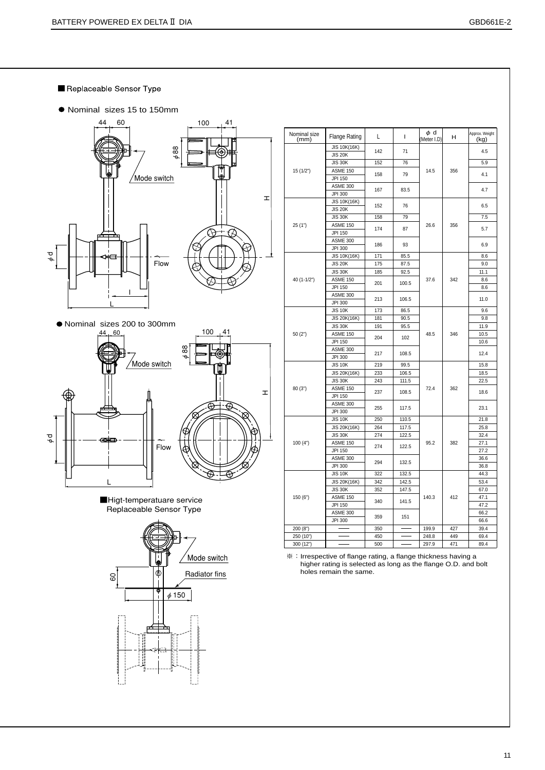- Replaceable Sensor Type
- Nominal sizes 15 to 150mm





■Higt-temperatuare service Replaceable Sensor Type



| Nominal size | <b>Flange Rating</b> | L   | I            | φd<br>(Meter I.D) | н   | Approx. Weight |
|--------------|----------------------|-----|--------------|-------------------|-----|----------------|
| (mm)         | JIS 10K(16K)         |     |              |                   |     | (kg)           |
|              | <b>JIS 20K</b>       | 142 | 71           |                   |     | 4.5            |
|              | <b>JIS 30K</b>       | 152 | 76           |                   |     | 5.9            |
| 15(1/2")     | <b>ASME 150</b>      |     |              | 14.5              | 356 |                |
|              | JPI 150              | 158 | 79           |                   |     | 4.1            |
|              | <b>ASME 300</b>      |     |              |                   |     |                |
|              | JPI 300              | 167 | 83.5         |                   |     | 4.7            |
|              | JIS 10K(16K)         |     |              |                   |     |                |
|              | <b>JIS 20K</b>       | 152 | 76           |                   |     | 6.5            |
|              | <b>JIS 30K</b>       | 158 | 79           |                   |     | 7.5            |
| 25(1")       | <b>ASME 150</b>      |     |              | 26.6              | 356 |                |
|              | JPI 150              | 174 | 87           |                   |     | 5.7            |
|              | ASME 300             |     |              |                   |     |                |
|              | JPI 300              | 186 | 93           |                   |     | 6.9            |
|              | JIS 10K(16K)         | 171 | 85.5         |                   |     | 8.6            |
|              | <b>JIS 20K</b>       | 175 | 87.5         |                   |     | 9.0            |
|              | <b>JIS 30K</b>       | 185 | 92.5         |                   |     | 11.1           |
| 40 (1-1/2")  | <b>ASME 150</b>      |     |              | 37.6              | 342 | 8.6            |
|              | JPI 150              | 201 | 100.5        |                   |     | 8.6            |
|              | ASME 300             |     |              |                   |     |                |
|              | JPI 300              | 213 | 106.5        |                   |     | 11.0           |
|              | <b>JIS 10K</b>       | 173 | 86.5         |                   |     | 9.6            |
| 50(2")       | JIS 20K(16K)         | 181 | 90.5         |                   |     | 9.8            |
|              | <b>JIS 30K</b>       | 191 | 95.5         |                   |     | 11.9           |
|              | <b>ASME 150</b>      |     | 102<br>108.5 | 48.5              | 346 | 10.5           |
|              | JPI 150              | 204 |              |                   |     | 10.6           |
|              | <b>ASME 300</b>      |     |              |                   |     |                |
|              | JPI 300              | 217 |              |                   |     | 12.4           |
|              | <b>JIS 10K</b>       | 219 | 99.5         |                   |     | 15.8           |
|              | JIS 20K(16K)         | 233 | 106.5        |                   |     | 18.5           |
|              | <b>JIS 30K</b>       | 243 | 111.5        |                   |     | 22.5           |
| 80(3")       | <b>ASME 150</b>      |     |              | 72.4              | 362 |                |
|              | JPI 150              | 237 | 108.5        |                   |     | 18.6           |
|              | ASME 300             |     |              |                   |     |                |
|              | JPI 300              | 255 | 117.5        |                   |     | 23.1           |
|              | <b>JIS 10K</b>       | 250 | 110.5        |                   |     | 21.8           |
|              | JIS 20K(16K)         | 264 | 117.5        |                   |     | 25.8           |
|              | <b>JIS 30K</b>       | 274 | 122.5        |                   |     | 32.4           |
| 100(4")      | <b>ASME 150</b>      |     |              | 95.2              | 382 | 27.1           |
|              | JPI 150              | 274 | 122.5        |                   |     | 27.2           |
|              | <b>ASME 300</b>      |     |              |                   |     | 36.6           |
|              | JPI 300              | 294 | 132.5        |                   |     | 36.8           |
|              | <b>JIS 10K</b>       | 322 | 132.5        |                   |     | 44.3           |
|              | JIS 20K(16K)         | 342 | 142.5        |                   |     | 53.4           |
|              | <b>JIS 30K</b>       | 352 | 147.5        |                   |     | 67.0           |
| 150 (6")     | <b>ASME 150</b>      |     |              | 140.3             | 412 | 47.1           |
|              | JPI 150              | 340 | 141.5        |                   |     | 47.2           |
|              | ASME 300             |     |              |                   |     | 66.2           |
|              | JPI 300              | 359 | 151          |                   |     | 66.6           |
| 200 (8")     |                      | 350 |              | 199.9             | 427 | 39.4           |
| 250 (10")    |                      | 450 |              | 248.8             | 449 | 69.4           |
| 300 (12")    |                      | 500 |              | 297.9             | 471 | 89.4           |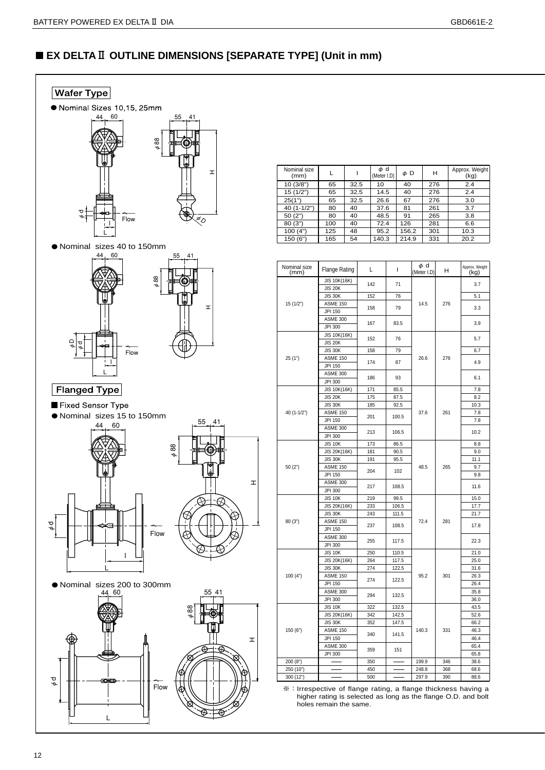# ■ **EX DELTA**Ⅱ **OUTLINE DIMENSIONS [SEPARATE TYPE] (Unit in mm)**



| Nominal size<br>(mm) |     |      | φd<br>(Meter I.D) | $\phi$ D | н   | Approx. Weight<br>(kg) |
|----------------------|-----|------|-------------------|----------|-----|------------------------|
| 10(3/8")             | 65  | 32.5 | 10                | 40       | 276 | 2.4                    |
| 15(1/2")             | 65  | 32.5 | 14.5              | 40       | 276 | 2.4                    |
| 25(1")               | 65  | 32.5 | 26.6              | 67       | 276 | 3.0                    |
| $40(1-1/2")$         | 80  | 40   | 37.6              | 81       | 261 | 3.7                    |
| 50(2")               | 80  | 40   | 48.5              | 91       | 265 | 3.8                    |
| 80(3")               | 100 | 40   | 72.4              | 126      | 281 | 6.6                    |
| 100(4")              | 125 | 48   | 95.2              | 156.2    | 301 | 10.3                   |
| 150 (6")             | 165 | 54   | 140.3             | 214.9    | 331 | 20.2                   |

| Nominal size<br>(mm) | <b>Flange Rating</b>           | L          | I              | φd<br>(Meter I.D) | н   | Approx. Weight<br>(kg) |
|----------------------|--------------------------------|------------|----------------|-------------------|-----|------------------------|
|                      | JIS 10K(16K)<br><b>JIS 20K</b> | 142        | 71             |                   |     | 3.7                    |
|                      | <b>JIS 30K</b>                 | 152        | 76             |                   |     | 5.1                    |
| 15(1/2")             | <b>ASME 150</b>                |            |                | 14.5              | 276 |                        |
|                      | JPI 150                        | 158        | 79             |                   |     | 3.3                    |
|                      | <b>ASME 300</b>                |            |                |                   |     |                        |
|                      | JPI 300                        | 167        | 83.5           |                   |     | 3.9                    |
|                      | JIS 10K(16K)                   |            |                |                   |     |                        |
|                      | <b>JIS 20K</b>                 | 152        | 76             |                   |     | 5.7                    |
|                      | <b>JIS 30K</b>                 | 158        | 79             |                   |     | 6.7                    |
| 25(1")               | ASME 150                       |            |                | 26.6              | 276 |                        |
|                      | JPI 150                        | 174        | 87             |                   |     | 4.9                    |
|                      | <b>ASME 300</b>                | 186        | 93             |                   |     | 6.1                    |
|                      | JPI 300                        |            |                |                   |     |                        |
|                      | JIS 10K(16K)                   | 171        | 85.5           |                   |     | 7.8                    |
|                      | <b>JIS 20K</b>                 | 175        | 87.5           |                   |     | 8.2                    |
|                      | <b>JIS 30K</b>                 | 185        | 92.5           |                   |     | 10.3                   |
| 40 (1-1/2")          | <b>ASME 150</b>                | 201        | 100.5          | 37.6              | 261 | 7.8                    |
|                      | JPI 150                        |            |                |                   |     | 7.8                    |
|                      | <b>ASME 300</b>                | 213        | 106.5          |                   |     | 10.2                   |
|                      | JPI 300                        |            |                |                   |     |                        |
|                      | <b>JIS 10K</b>                 | 173        | 86.5           |                   |     | 8.8                    |
|                      | JIS 20K(16K)                   | 181        | 90.5           |                   |     | 9.0                    |
|                      | <b>JIS 30K</b>                 | 191        | 95.5           |                   |     | 11.1                   |
| 50 (2")              | <b>ASME 150</b>                | 204        | 102            | 48.5              | 265 | 9.7                    |
|                      | JPI 150                        |            |                |                   |     | 9.8                    |
|                      | <b>ASME 300</b>                | 217        | 108.5          |                   |     | 11.6                   |
|                      | JPI 300                        |            |                |                   |     |                        |
|                      | <b>JIS 10K</b>                 | 219        | 99.5           |                   |     | 15.0                   |
|                      | JIS 20K(16K)                   | 233        | 106.5          |                   |     | 17.7                   |
|                      | <b>JIS 30K</b>                 | 243        | 111.5          |                   |     | 21.7                   |
| 80 (3")              | <b>ASME 150</b>                | 237        | 108.5          | 72.4              | 281 | 17.8                   |
|                      | JPI 150                        |            |                |                   |     |                        |
|                      | <b>ASME 300</b>                | 255        | 117.5          |                   |     | 22.3                   |
|                      | JPI 300                        |            |                |                   |     |                        |
|                      | <b>JIS 10K</b><br>JIS 20K(16K) | 250<br>264 | 110.5<br>117.5 |                   |     | 21.0<br>25.0           |
|                      | <b>JIS 30K</b>                 | 274        | 122.5          |                   |     | 31.6                   |
| 100(4")              | ASME 150                       |            |                | 95.2              | 301 | 26.3                   |
|                      | JPI 150                        | 274        | 122.5          |                   |     | 26.4                   |
|                      | <b>ASME 300</b>                |            |                |                   |     | 35.8                   |
|                      | JPI 300                        | 294        | 132.5          |                   |     | 36.0                   |
|                      | <b>JIS 10K</b>                 | 322        | 132.5          |                   |     | 43.5                   |
|                      | JIS 20K(16K)                   | 342        | 142.5          |                   |     | 52.6                   |
|                      | <b>JIS 30K</b>                 | 352        | 147.5          |                   |     | 66.2                   |
| 150 (6")             | <b>ASME 150</b>                |            |                | 140.3             | 331 | 46.3                   |
|                      | JPI 150                        | 340        | 141.5          |                   |     | 46.4                   |
|                      | <b>ASME 300</b>                |            |                |                   |     | 65.4                   |
|                      | JPI 300                        | 359        | 151            |                   |     | 65.8                   |
| 200(8")              |                                | 350        |                | 199.9             | 346 | 38.6                   |
| 250 (10")            |                                | 450        |                | 248.8             | 368 | 68.6                   |
| 300 (12")            |                                | 500        |                | 297.9             | 390 | 88.6                   |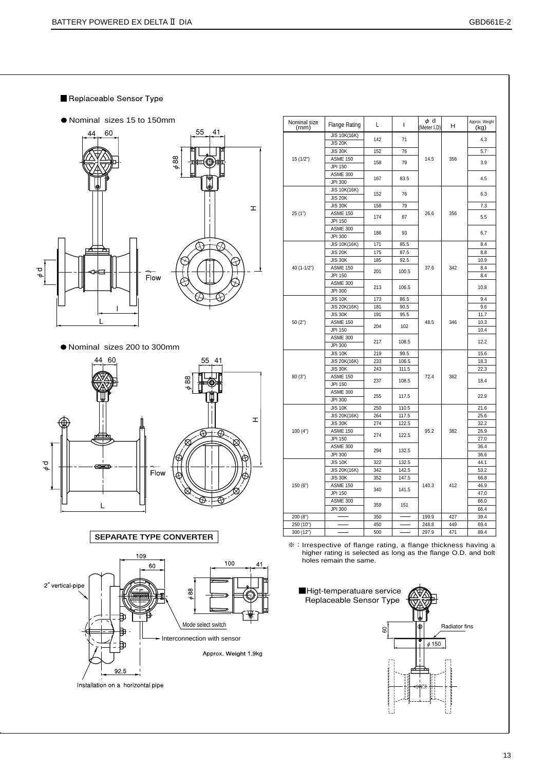- Replaceable Sensor Type
- Nominal sizes 15 to 150mm



Nominal sizes 200 to 300mm



SEPARATE TYPE CONVERTER



| Nominal size<br>(mm) | <b>Flange Rating</b>           | L   | I     | φd<br>(Meter I.D) | H   | Approx. Weight<br>(kg) |
|----------------------|--------------------------------|-----|-------|-------------------|-----|------------------------|
|                      | JIS 10K(16K)<br><b>JIS 20K</b> | 142 | 71    |                   |     | 4.3                    |
|                      | <b>JIS 30K</b>                 | 152 | 76    |                   |     | 5.7                    |
| 15 (1/2")            | <b>ASME 150</b>                |     |       | 14.5              | 356 |                        |
|                      | JPI 150                        | 158 | 79    |                   |     | 3.9                    |
|                      | <b>ASME 300</b>                |     |       |                   |     |                        |
|                      | JPI 300                        | 167 | 83.5  |                   |     | 4.5                    |
|                      | JIS 10K(16K)                   |     |       |                   |     |                        |
|                      | <b>JIS 20K</b>                 | 152 | 76    |                   |     | 6.3                    |
|                      | <b>JIS 30K</b>                 | 158 | 79    |                   |     | 7.3                    |
| 25(1")               | <b>ASME 150</b>                |     |       | 26.6              | 356 |                        |
|                      | JPI 150                        | 174 | 87    |                   |     | 5.5                    |
|                      | <b>ASME 300</b>                |     |       |                   |     |                        |
|                      | JPI 300                        | 186 | 93    |                   |     | 6.7                    |
|                      | JIS 10K(16K)                   | 171 | 85.5  |                   |     | 8.4                    |
|                      | <b>JIS 20K</b>                 | 175 | 87.5  |                   |     | 8.8                    |
|                      | <b>JIS 30K</b>                 | 185 | 92.5  |                   |     | 10.9                   |
| 40 (1-1/2")          | <b>ASME 150</b>                |     |       | 37.6              | 342 | 8.4                    |
|                      | JPI 150                        | 201 | 100.5 |                   |     | 8.4                    |
|                      | <b>ASME 300</b>                |     |       |                   |     |                        |
|                      | JPI 300                        | 213 | 106.5 |                   |     | 10.8                   |
|                      | <b>JIS 10K</b>                 | 173 | 86.5  |                   |     | 9.4                    |
|                      | JIS 20K(16K)                   | 181 | 90.5  |                   |     | 9.6                    |
|                      | <b>JIS 30K</b>                 | 191 | 95.5  |                   |     | 11.7                   |
| 50(2")               | <b>ASME 150</b>                |     |       | 48.5              | 346 | 10.3                   |
|                      | JPI 150                        | 204 | 102   |                   |     | 10.4                   |
|                      | <b>ASME 300</b>                | 217 | 108.5 |                   |     | 12.2                   |
|                      | JPI 300                        |     |       |                   |     |                        |
|                      | <b>JIS 10K</b>                 | 219 | 99.5  |                   |     | 15.6                   |
|                      | JIS 20K(16K)                   | 233 | 106.5 |                   |     | 18.3                   |
|                      | <b>JIS 30K</b>                 | 243 | 111.5 |                   |     | 22.3                   |
| 80(3")               | <b>ASME 150</b>                | 237 | 108.5 | 72.4              | 362 | 18.4                   |
|                      | JPI 150                        |     |       |                   |     |                        |
|                      | <b>ASME 300</b>                | 255 | 117.5 |                   |     | 22.9                   |
|                      | JPI 300                        |     |       |                   |     |                        |
|                      | <b>JIS 10K</b>                 | 250 | 110.5 |                   |     | 21.6                   |
|                      | JIS 20K(16K)                   | 264 | 117.5 |                   |     | 25.6                   |
|                      | <b>JIS 30K</b>                 | 274 | 122.5 |                   |     | 32.2                   |
| 100(4")              | <b>ASME 150</b>                | 274 | 122.5 | 95.2              | 382 | 26.9                   |
|                      | JPI 150                        |     |       |                   |     | 27.0                   |
|                      | <b>ASME 300</b>                | 294 | 132.5 |                   |     | 36.4                   |
|                      | JPI 300                        |     |       |                   |     | 36.6                   |
|                      | <b>JIS 10K</b>                 | 322 | 132.5 |                   |     | 44.1                   |
|                      | JIS 20K(16K)                   | 342 | 142.5 |                   |     | 53.2                   |
|                      | <b>JIS 30K</b>                 | 352 | 147.5 |                   |     | 66.8                   |
| 150 (6")             | <b>ASME 150</b>                | 340 | 141.5 | 140.3             | 412 | 46.9                   |
|                      | JPI 150                        |     |       |                   |     | 47.0                   |
|                      | <b>ASME 300</b>                | 359 | 151   |                   |     | 66.0                   |
|                      | JPI 300                        |     |       |                   |     | 66.4                   |
| 200 (8")             |                                | 350 |       | 199.9             | 427 | 39.4                   |
| 250 (10")            |                                | 450 |       | 248.8             | 449 | 69.4                   |
| 300 (12")            |                                | 500 |       | 297.9             | 471 | 89.4                   |

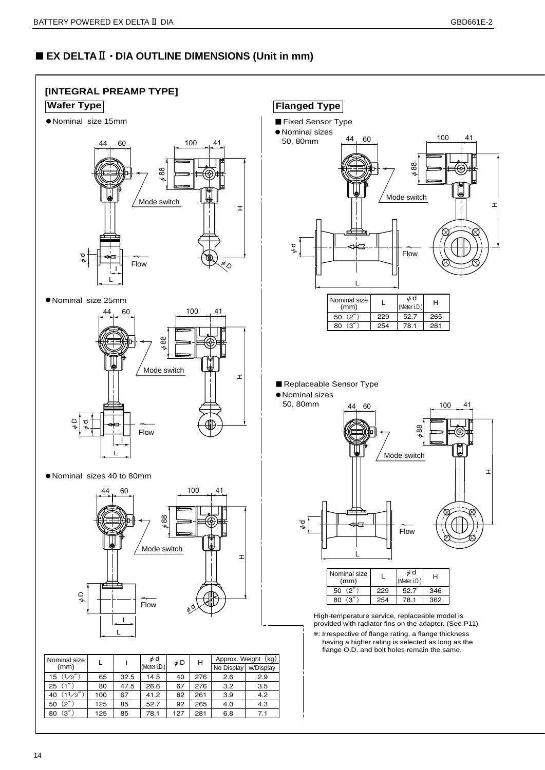# ■ **EX DELTA**Ⅱ **• DIA OUTLINE DIMENSIONS (Unit in mm)**

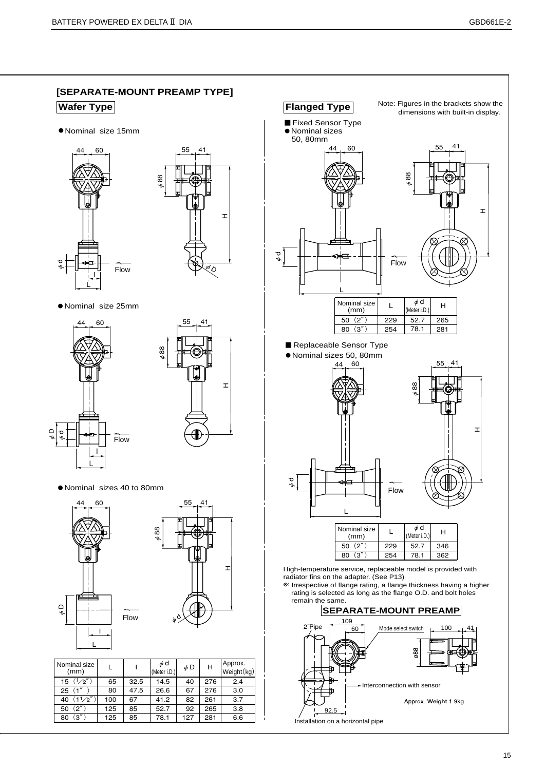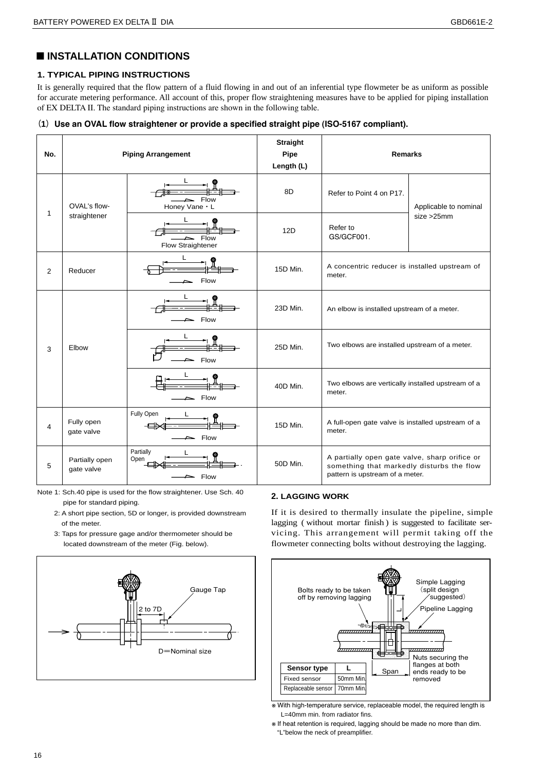# ■ **INSTALLATION CONDITIONS**

# **1. TYPICAL PIPING INSTRUCTIONS**

It is generally required that the flow pattern of a fluid flowing in and out of an inferential type flowmeter be as uniform as possible for accurate metering performance. All account of this, proper flow straightening measures have to be applied for piping installation of EX DELTA Ⅱ. The standard piping instructions are shown in the following table.

## **(1)Use an OVAL flow straightener or provide a specified straight pipe (ISO-5167 compliant).**

| No.            |                              | <b>Piping Arrangement</b> | <b>Straight</b><br>Pipe<br>Length (L) | <b>Remarks</b>                                                                                                                |                       |  |
|----------------|------------------------------|---------------------------|---------------------------------------|-------------------------------------------------------------------------------------------------------------------------------|-----------------------|--|
|                | OVAL's flow-                 | Flow<br>Honey Vane . L    | 8D                                    | Refer to Point 4 on P17.                                                                                                      | Applicable to nominal |  |
| 1              | straightener                 | Flow<br>Flow Straightener | 12D                                   | size > 25mm<br>Refer to<br>GS/GCF001.                                                                                         |                       |  |
| $\overline{2}$ | Reducer                      | L<br>Flow                 | 15D Min.                              | A concentric reducer is installed upstream of<br>meter.                                                                       |                       |  |
|                | Elbow<br>3                   | Flow                      | 23D Min.                              | An elbow is installed upstream of a meter.                                                                                    |                       |  |
|                |                              | Flow                      | 25D Min.                              | Two elbows are installed upstream of a meter.                                                                                 |                       |  |
|                |                              | Flow                      | 40D Min.                              | Two elbows are vertically installed upstream of a<br>meter.                                                                   |                       |  |
| 4              | Fully open<br>gate valve     | Fully Open<br>Flow        | 15D Min.                              | A full-open gate valve is installed upstream of a<br>meter.                                                                   |                       |  |
| 5              | Partially open<br>gate valve | Partially<br>Open<br>Flow | 50D Min.                              | A partially open gate valve, sharp orifice or<br>something that markedly disturbs the flow<br>pattern is upstream of a meter. |                       |  |

Note 1: Sch.40 pipe is used for the flow straightener. Use Sch. 40 pipe for standard piping.

- 2: A short pipe section, 5D or longer, is provided downstream of the meter.
- 3: Taps for pressure gage and/or thermometer should be located downstream of the meter (Fig. below).



# **2. LAGGING WORK**

If it is desired to thermally insulate the pipeline, simple lagging ( without mortar finish ) is suggested to facilitate servicing. This arrangement will permit taking off the flowmeter connecting bolts without destroying the lagging.



※ With high-temperature service, replaceable model, the required length is  $L=40$ mm min. from radiator fins.

※ If heat retention is required, lagging should be made no more than dim. "L"below the neck of preamplifier.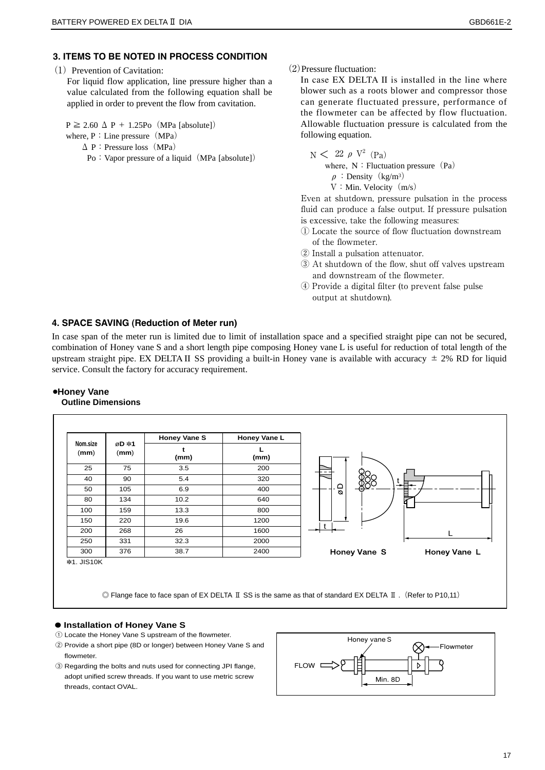# **3. ITEMS TO BE NOTED IN PROCESS CONDITION**

#### $(1)$  Prevention of Cavitation:

For liquid flow application, line pressure higher than a value calculated from the following equation shall be applied in order to prevent the flow from cavitation.

 $P \ge 2.60 \Delta P + 1.25Po$  (MPa [absolute])

- where,  $P:$  Line pressure (MPa)
	- $\Delta$  P : Pressure loss (MPa)
		- Po: Vapor pressure of a liquid (MPa [absolute])

(2)Pressure fluctuation:

In case EX DELTA II is installed in the line where blower such as a roots blower and compressor those can generate fluctuated pressure, performance of the flowmeter can be affected by flow fluctuation. Allowable fluctuation pressure is calculated from the following equation.

 $\text{N}$   $\text{<sup>2</sup> (Pa)}$ where,  $N:Fluctuation pressure(Pa)$  $\rho$ : Density (kg/m<sup>3</sup>)  $V:$  Min. Velocity  $(m/s)$ 

Even at shutdown, pressure pulsation in the process fluid can produce a false output. If pressure pulsation is excessive, take the following measures:

- ① Locate the source of flow fluctuation downstream of the flowmeter.
- ② Install a pulsation attenuator.
- ③ At shutdown of the flow, shut off valves upstream and downstream of the flowmeter.
- ④ Provide a digital filter (to prevent false pulse output at shutdown).

# **4. SPACE SAVING (Reduction of Meter run)**

In case span of the meter run is limited due to limit of installation space and a specified straight pipe can not be secured, combination of Honey vane S and a short length pipe composing Honey vane L is useful for reduction of total length of the upstream straight pipe. EX DELTA II SS providing a built-in Honey vane is available with accuracy  $\pm$  2% RD for liquid service. Consult the factory for accuracy requirement.

#### ●**Honey Vane Outline Dimensions**



### **● Installation of Honey Vane S**

- ① Locate the Honey Vane S upstream of the flowmeter.
- ② Provide a short pipe (8D or longer) between Honey Vane S and flowmeter.
- ③ Regarding the bolts and nuts used for connecting JPI flange, adopt unified screw threads. If you want to use metric screw threads, contact OVAL.

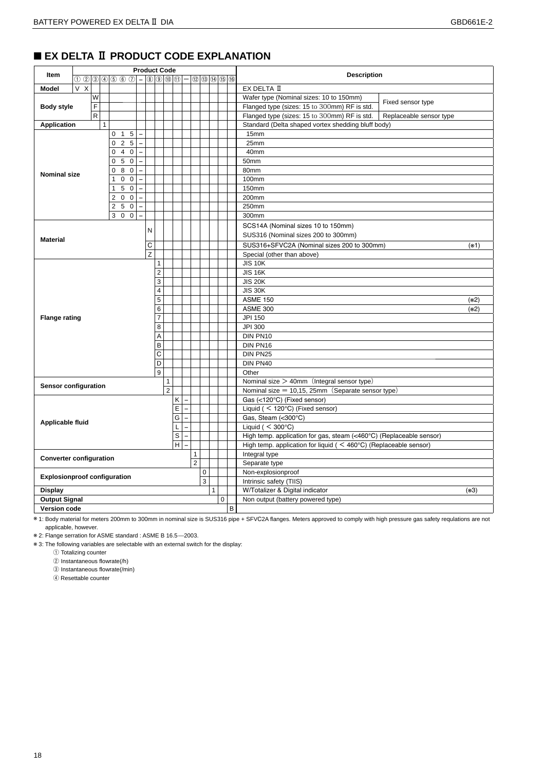# ■ **EX DELTA Ⅱ PRODUCT CODE EXPLANATION**

|                                     | <b>Product Code</b>                                                                                                     |              |                |                            |                          |                |   |                |   |                          |                |             |                |                                            |                |                                                                                |        |  |  |  |  |  |
|-------------------------------------|-------------------------------------------------------------------------------------------------------------------------|--------------|----------------|----------------------------|--------------------------|----------------|---|----------------|---|--------------------------|----------------|-------------|----------------|--------------------------------------------|----------------|--------------------------------------------------------------------------------|--------|--|--|--|--|--|
| Item                                | $\circledcirc$ ( $\circledcirc$ ( $\circledcirc$ ( $\circledcirc$ ) $ \circledcirc$ ( $\circledcirc$ ( $\circledcirc$ ) |              |                |                            |                          |                |   |                |   |                          |                |             | 12 13 19 15 16 |                                            |                | <b>Description</b>                                                             |        |  |  |  |  |  |
| Model                               | V<br>X                                                                                                                  |              |                |                            |                          |                |   |                |   |                          |                |             |                |                                            |                | EX DELTA II                                                                    |        |  |  |  |  |  |
|                                     | W                                                                                                                       |              |                |                            |                          |                |   |                |   |                          |                |             |                |                                            |                | Wafer type (Nominal sizes: 10 to 150mm)<br>Fixed sensor type                   |        |  |  |  |  |  |
| <b>Body style</b>                   | F                                                                                                                       |              |                |                            |                          |                |   |                |   |                          |                |             |                |                                            |                | Flanged type (sizes: 15 to 300mm) RF is std.                                   |        |  |  |  |  |  |
|                                     | R                                                                                                                       |              |                |                            |                          |                |   |                |   |                          |                |             |                |                                            |                | Flanged type (sizes: 15 to 300mm) RF is std.<br>Replaceable sensor type        |        |  |  |  |  |  |
| <b>Application</b>                  |                                                                                                                         | $\mathbf{1}$ |                |                            |                          |                |   |                |   |                          |                |             |                |                                            |                | Standard (Delta shaped vortex shedding bluff body)                             |        |  |  |  |  |  |
|                                     |                                                                                                                         |              | $\mathbf{0}$   | 5<br>$\overline{1}$        |                          |                |   |                |   |                          |                |             |                |                                            |                | 15mm                                                                           |        |  |  |  |  |  |
|                                     |                                                                                                                         |              | $\mathbf{0}$   | 2 <sub>5</sub>             | $\overline{a}$           |                |   |                |   |                          |                |             |                |                                            |                | 25mm                                                                           |        |  |  |  |  |  |
| 40<br>$\mathbf 0$<br>$\equiv$       |                                                                                                                         |              |                |                            |                          |                |   |                |   |                          |                |             | 40mm           |                                            |                |                                                                                |        |  |  |  |  |  |
|                                     |                                                                                                                         |              | 0              | 5 0                        | $\overline{\phantom{0}}$ |                |   |                |   |                          |                |             |                |                                            |                | 50mm                                                                           |        |  |  |  |  |  |
| <b>Nominal size</b>                 |                                                                                                                         |              | 0              | $\mathbf 0$<br>8           | $\equiv$                 |                |   |                |   |                          |                |             |                |                                            |                | 80mm                                                                           |        |  |  |  |  |  |
|                                     |                                                                                                                         |              | 1              | $\mathbf 0$<br>$\mathbf 0$ | $\overline{a}$           |                |   |                |   |                          |                |             |                |                                            |                | 100mm                                                                          |        |  |  |  |  |  |
|                                     |                                                                                                                         |              | $\mathbf{1}$   | $\overline{0}$<br>5        | $\overline{a}$           |                |   |                |   |                          |                |             |                |                                            |                | 150mm                                                                          |        |  |  |  |  |  |
|                                     |                                                                                                                         |              | $\overline{2}$ | $0\quad 0$                 | $\overline{\phantom{0}}$ |                |   |                |   |                          |                |             |                |                                            |                | 200mm                                                                          |        |  |  |  |  |  |
|                                     |                                                                                                                         |              |                | 250                        | $\overline{a}$           |                |   |                |   |                          |                |             |                |                                            |                | 250mm                                                                          |        |  |  |  |  |  |
|                                     |                                                                                                                         |              |                | 300                        | $\overline{a}$           |                |   |                |   |                          |                |             |                |                                            |                | 300mm                                                                          |        |  |  |  |  |  |
|                                     |                                                                                                                         |              |                |                            |                          |                |   |                |   |                          |                |             |                |                                            |                | SCS14A (Nominal sizes 10 to 150mm)                                             |        |  |  |  |  |  |
|                                     |                                                                                                                         |              |                |                            |                          | N              |   |                |   |                          |                |             |                |                                            |                | SUS316 (Nominal sizes 200 to 300mm)                                            |        |  |  |  |  |  |
| <b>Material</b>                     |                                                                                                                         |              |                | C                          |                          |                |   |                |   |                          |                |             |                | SUS316+SFVC2A (Nominal sizes 200 to 300mm) | $(*1)$         |                                                                                |        |  |  |  |  |  |
|                                     |                                                                                                                         |              |                |                            |                          | Z              |   |                |   |                          |                |             |                |                                            |                | Special (other than above)                                                     |        |  |  |  |  |  |
|                                     |                                                                                                                         |              |                |                            |                          |                | 1 |                |   |                          |                |             |                |                                            |                | <b>JIS 10K</b>                                                                 |        |  |  |  |  |  |
|                                     |                                                                                                                         |              |                |                            |                          | $\overline{2}$ |   |                |   |                          |                |             |                |                                            | <b>JIS 16K</b> |                                                                                |        |  |  |  |  |  |
|                                     |                                                                                                                         |              |                |                            |                          |                | 3 |                |   |                          |                |             |                |                                            |                | <b>JIS 20K</b>                                                                 |        |  |  |  |  |  |
|                                     |                                                                                                                         |              |                |                            |                          |                | 4 |                |   |                          |                |             |                |                                            |                | <b>JIS 30K</b>                                                                 |        |  |  |  |  |  |
|                                     |                                                                                                                         |              |                |                            |                          |                | 5 |                |   |                          |                |             |                |                                            |                | <b>ASME 150</b>                                                                | $(*2)$ |  |  |  |  |  |
|                                     |                                                                                                                         |              |                |                            |                          |                | 6 |                |   |                          |                |             |                |                                            |                | <b>ASME 300</b>                                                                | $(*2)$ |  |  |  |  |  |
| <b>Flange rating</b>                |                                                                                                                         |              |                |                            |                          |                | 7 |                |   |                          |                |             |                |                                            |                | JPI 150                                                                        |        |  |  |  |  |  |
|                                     |                                                                                                                         |              |                |                            |                          |                | 8 |                |   |                          |                |             |                |                                            |                | JPI 300                                                                        |        |  |  |  |  |  |
|                                     |                                                                                                                         |              |                |                            |                          |                | Α |                |   |                          |                |             |                |                                            |                | DIN PN10                                                                       |        |  |  |  |  |  |
|                                     |                                                                                                                         |              |                |                            |                          |                | B |                |   |                          |                |             |                |                                            |                | DIN PN16                                                                       |        |  |  |  |  |  |
|                                     |                                                                                                                         |              |                |                            |                          |                | C |                |   |                          |                |             |                |                                            |                | DIN PN25                                                                       |        |  |  |  |  |  |
|                                     |                                                                                                                         |              |                |                            |                          |                | D |                |   |                          |                |             |                |                                            |                | DIN PN40                                                                       |        |  |  |  |  |  |
|                                     |                                                                                                                         |              |                |                            |                          |                | 9 |                |   |                          |                |             |                |                                            |                | Other                                                                          |        |  |  |  |  |  |
|                                     |                                                                                                                         |              |                |                            |                          |                |   | $\mathbf{1}$   |   |                          |                |             |                |                                            |                | Nominal size $>$ 40mm (Integral sensor type)                                   |        |  |  |  |  |  |
| Sensor configuration                |                                                                                                                         |              |                |                            |                          |                |   | $\overline{2}$ |   |                          |                |             |                |                                            |                | Nominal size = $10,15,25$ mm (Separate sensor type)                            |        |  |  |  |  |  |
|                                     |                                                                                                                         |              |                |                            |                          |                |   |                | Κ |                          |                |             |                |                                            |                | Gas (<120°C) (Fixed sensor)                                                    |        |  |  |  |  |  |
|                                     |                                                                                                                         |              |                |                            |                          |                |   |                | E |                          |                |             |                |                                            |                | Liquid ( $<$ 120°C) (Fixed sensor)                                             |        |  |  |  |  |  |
| Applicable fluid                    |                                                                                                                         |              |                |                            |                          |                |   |                | G | $\overline{\phantom{a}}$ |                |             |                |                                            |                | Gas, Steam (<300°C)                                                            |        |  |  |  |  |  |
|                                     |                                                                                                                         |              |                |                            |                          |                |   |                | L |                          |                |             |                |                                            |                | Liquid ( $<$ 300 $^{\circ}$ C)                                                 |        |  |  |  |  |  |
|                                     |                                                                                                                         |              |                |                            |                          |                |   |                | S |                          |                |             |                |                                            |                | High temp. application for gas, steam (<460°C) (Replaceable sensor)            |        |  |  |  |  |  |
|                                     |                                                                                                                         |              |                |                            |                          |                |   |                | H |                          |                |             |                |                                            |                | High temp. application for liquid ( $\leq 460^{\circ}$ C) (Replaceable sensor) |        |  |  |  |  |  |
| <b>Converter configuration</b>      |                                                                                                                         |              |                |                            |                          |                |   |                |   |                          | $\mathbf{1}$   |             |                |                                            |                | Integral type                                                                  |        |  |  |  |  |  |
|                                     |                                                                                                                         |              |                |                            |                          |                |   |                |   |                          | $\overline{2}$ |             |                |                                            |                | Separate type                                                                  |        |  |  |  |  |  |
| <b>Explosionproof configuration</b> |                                                                                                                         |              |                |                            |                          |                |   |                |   |                          |                | $\mathbf 0$ |                |                                            |                | Non-explosionproof                                                             |        |  |  |  |  |  |
|                                     |                                                                                                                         |              |                |                            |                          |                |   |                |   |                          |                | 3           |                |                                            |                | Intrinsic safety (TIIS)                                                        |        |  |  |  |  |  |
| <b>Display</b>                      |                                                                                                                         |              |                |                            |                          |                |   |                |   |                          |                |             | $\mathbf{1}$   |                                            |                | W/Totalizer & Digital indicator                                                | $(*3)$ |  |  |  |  |  |
| <b>Output Signal</b>                |                                                                                                                         |              |                |                            |                          |                |   |                |   |                          |                |             |                | 0                                          |                | Non output (battery powered type)                                              |        |  |  |  |  |  |
| <b>Version code</b>                 |                                                                                                                         |              |                |                            |                          |                |   |                |   |                          |                |             |                |                                            | В              |                                                                                |        |  |  |  |  |  |

※ 1: Body material for meters 200mm to 300mm in nominal size is SUS316 pipe + SFVC2A flanges. Meters approved to comply with high pressure gas safety requlations are not applicable, however.

※ 2: Flange serration for ASME standard : ASME B 16.5̶2003.

※ 3: The following variables are selectable with an external switch for the display:

① Totalizing counter

② Instantaneous flowrate(/h)

③ Instantaneous flowrate(/min)

④ Resettable counter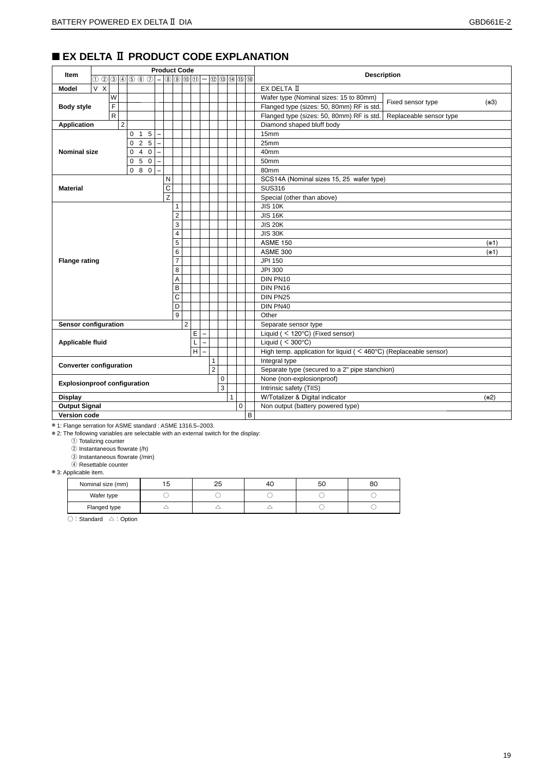# ■ **EX DELTA Ⅱ PRODUCT CODE EXPLANATION**

|                                     | <b>Product Code</b> |   |                |                |           |                          |                |                                 |                |   |                |             |                |                           |   |                                                                                |        |  |  |  |  |  |
|-------------------------------------|---------------------|---|----------------|----------------|-----------|--------------------------|----------------|---------------------------------|----------------|---|----------------|-------------|----------------|---------------------------|---|--------------------------------------------------------------------------------|--------|--|--|--|--|--|
| Item                                | $0$ 2 3 4 5 6 7 -   |   |                |                |           |                          |                | $\circ$ $\circ$ $\circ$ $\circ$ |                |   |                | 0000000     |                |                           |   | <b>Description</b>                                                             |        |  |  |  |  |  |
| <b>Model</b>                        | V X                 |   |                |                |           |                          |                |                                 |                |   |                |             |                |                           |   | EX DELTA II                                                                    |        |  |  |  |  |  |
|                                     |                     | W |                |                |           |                          |                |                                 |                |   |                |             |                |                           |   | Wafer type (Nominal sizes: 15 to 80mm)<br>Fixed sensor type                    | $(*3)$ |  |  |  |  |  |
| <b>Body style</b>                   |                     | F |                |                |           |                          |                |                                 |                |   |                |             |                |                           |   | Flanged type (sizes: 50, 80mm) RF is std.                                      |        |  |  |  |  |  |
|                                     |                     | R |                |                |           |                          |                |                                 |                |   |                |             |                |                           |   | Flanged type (sizes: 50, 80mm) RF is std.<br>Replaceable sensor type           |        |  |  |  |  |  |
| <b>Application</b>                  |                     |   | $\overline{2}$ |                |           |                          |                |                                 |                |   |                |             |                | Diamond shaped bluff body |   |                                                                                |        |  |  |  |  |  |
|                                     |                     |   |                | 0 <sub>1</sub> | 5         | $\sim$                   |                |                                 |                |   |                |             |                |                           |   | 15mm                                                                           |        |  |  |  |  |  |
|                                     | 025                 |   |                |                |           |                          |                |                                 |                |   |                | 25mm        |                |                           |   |                                                                                |        |  |  |  |  |  |
| <b>Nominal size</b>                 |                     |   |                | $\Omega$       | $4\quad0$ | $\overline{\phantom{m}}$ |                |                                 |                |   |                |             |                |                           |   | 40mm                                                                           |        |  |  |  |  |  |
|                                     |                     |   |                | $\mathbf{0}$   | 5 0       | $\overline{\phantom{a}}$ |                |                                 |                |   |                |             |                |                           |   | 50mm                                                                           |        |  |  |  |  |  |
|                                     |                     |   |                |                | 080       |                          |                |                                 |                |   |                |             |                |                           |   | 80mm                                                                           |        |  |  |  |  |  |
|                                     |                     |   |                |                |           |                          | N              |                                 |                |   |                |             |                |                           |   | SCS14A (Nominal sizes 15, 25 wafer type)                                       |        |  |  |  |  |  |
| <b>Material</b>                     |                     |   |                |                |           |                          | C              |                                 |                |   |                |             |                |                           |   | <b>SUS316</b>                                                                  |        |  |  |  |  |  |
|                                     |                     |   |                |                |           |                          | $\overline{z}$ |                                 |                |   |                |             |                |                           |   | Special (other than above)                                                     |        |  |  |  |  |  |
|                                     |                     |   |                |                |           |                          |                | 1                               |                |   |                |             |                |                           |   | <b>JIS 10K</b>                                                                 |        |  |  |  |  |  |
| $\overline{c}$                      |                     |   |                |                |           |                          |                |                                 |                |   |                |             | <b>JIS 16K</b> |                           |   |                                                                                |        |  |  |  |  |  |
|                                     |                     |   |                |                |           |                          |                | 3                               |                |   |                |             |                |                           |   | <b>JIS 20K</b>                                                                 |        |  |  |  |  |  |
|                                     |                     |   |                |                |           |                          |                | 4                               |                |   |                |             |                |                           |   | <b>JIS 30K</b>                                                                 |        |  |  |  |  |  |
|                                     |                     |   |                |                |           |                          |                | 5                               |                |   |                |             |                |                           |   | <b>ASME 150</b><br>$(*1)$                                                      |        |  |  |  |  |  |
|                                     |                     |   |                |                |           |                          |                | 6                               |                |   |                |             |                |                           |   | <b>ASME 300</b>                                                                | $(*1)$ |  |  |  |  |  |
| <b>Flange rating</b>                |                     |   |                |                |           |                          |                | $\overline{7}$                  |                |   |                |             |                |                           |   | JPI 150                                                                        |        |  |  |  |  |  |
|                                     |                     |   |                |                |           |                          |                | 8                               |                |   |                |             |                |                           |   | JPI 300                                                                        |        |  |  |  |  |  |
|                                     |                     |   |                |                |           |                          |                | A                               |                |   |                |             |                |                           |   | DIN PN10                                                                       |        |  |  |  |  |  |
|                                     |                     |   |                |                |           |                          |                | B                               |                |   |                |             |                |                           |   | DIN PN16                                                                       |        |  |  |  |  |  |
|                                     |                     |   |                |                |           |                          |                | C                               |                |   |                |             |                |                           |   | DIN PN25                                                                       |        |  |  |  |  |  |
|                                     |                     |   |                |                |           |                          |                | D                               |                |   |                |             |                |                           |   | DIN PN40                                                                       |        |  |  |  |  |  |
|                                     |                     |   |                |                |           |                          |                | 9                               |                |   |                |             |                |                           |   | Other                                                                          |        |  |  |  |  |  |
| <b>Sensor configuration</b>         |                     |   |                |                |           |                          |                |                                 | $\overline{2}$ |   |                |             |                |                           |   | Separate sensor type                                                           |        |  |  |  |  |  |
|                                     |                     |   |                |                |           |                          |                |                                 |                | E |                |             |                |                           |   | Liquid (< 120°C) (Fixed sensor)                                                |        |  |  |  |  |  |
| Applicable fluid                    |                     |   |                |                |           |                          |                |                                 |                | L |                |             |                |                           |   | Liquid ( $<$ 300 $^{\circ}$ C)                                                 |        |  |  |  |  |  |
|                                     |                     |   |                |                |           |                          |                |                                 |                | H |                |             |                |                           |   | High temp. application for liquid ( $\leq 460^{\circ}$ C) (Replaceable sensor) |        |  |  |  |  |  |
| <b>Converter configuration</b>      |                     |   |                |                |           |                          |                |                                 |                |   | $\mathbf{1}$   |             |                |                           |   | Integral type                                                                  |        |  |  |  |  |  |
|                                     |                     |   |                |                |           |                          |                |                                 |                |   | $\overline{2}$ |             |                |                           |   | Separate type (secured to a 2" pipe stanchion)                                 |        |  |  |  |  |  |
| <b>Explosionproof configuration</b> |                     |   |                |                |           |                          |                |                                 |                |   |                | $\mathbf 0$ |                |                           |   | None (non-explosionproof)                                                      |        |  |  |  |  |  |
|                                     |                     |   |                |                |           |                          |                |                                 |                |   |                | 3           |                |                           |   | Intrinsic safety (TIIS)                                                        |        |  |  |  |  |  |
| <b>Display</b>                      |                     |   |                |                |           |                          |                |                                 |                |   |                |             | $\mathbf{1}$   |                           |   | W/Totalizer & Digital indicator                                                | $(*2)$ |  |  |  |  |  |
| <b>Output Signal</b>                |                     |   |                |                |           |                          |                |                                 |                |   |                |             |                | $\pmb{0}$                 |   | Non output (battery powered type)                                              |        |  |  |  |  |  |
| <b>Version code</b>                 |                     |   |                |                |           |                          |                |                                 |                |   |                |             |                |                           | B |                                                                                |        |  |  |  |  |  |

※ 1: Flange serration for ASME standard : ASME 1316.5–2003.

※ 2: The following variables are selectable with an external switch for the display:

① Totalizing counter

② Instantaneous flowrate (/h)

 $\overset{\frown}{\textcircled{3}}$  Instantaneous flowrate (/min)

④ Resettable counter

※ 3: Applicable item.

| Nominal size (mm) | 25 | 4U | 50 | 80 |
|-------------------|----|----|----|----|
| Wafer type        |    |    |    |    |
| Flanged type      |    |    |    |    |

○:Standard △:Option